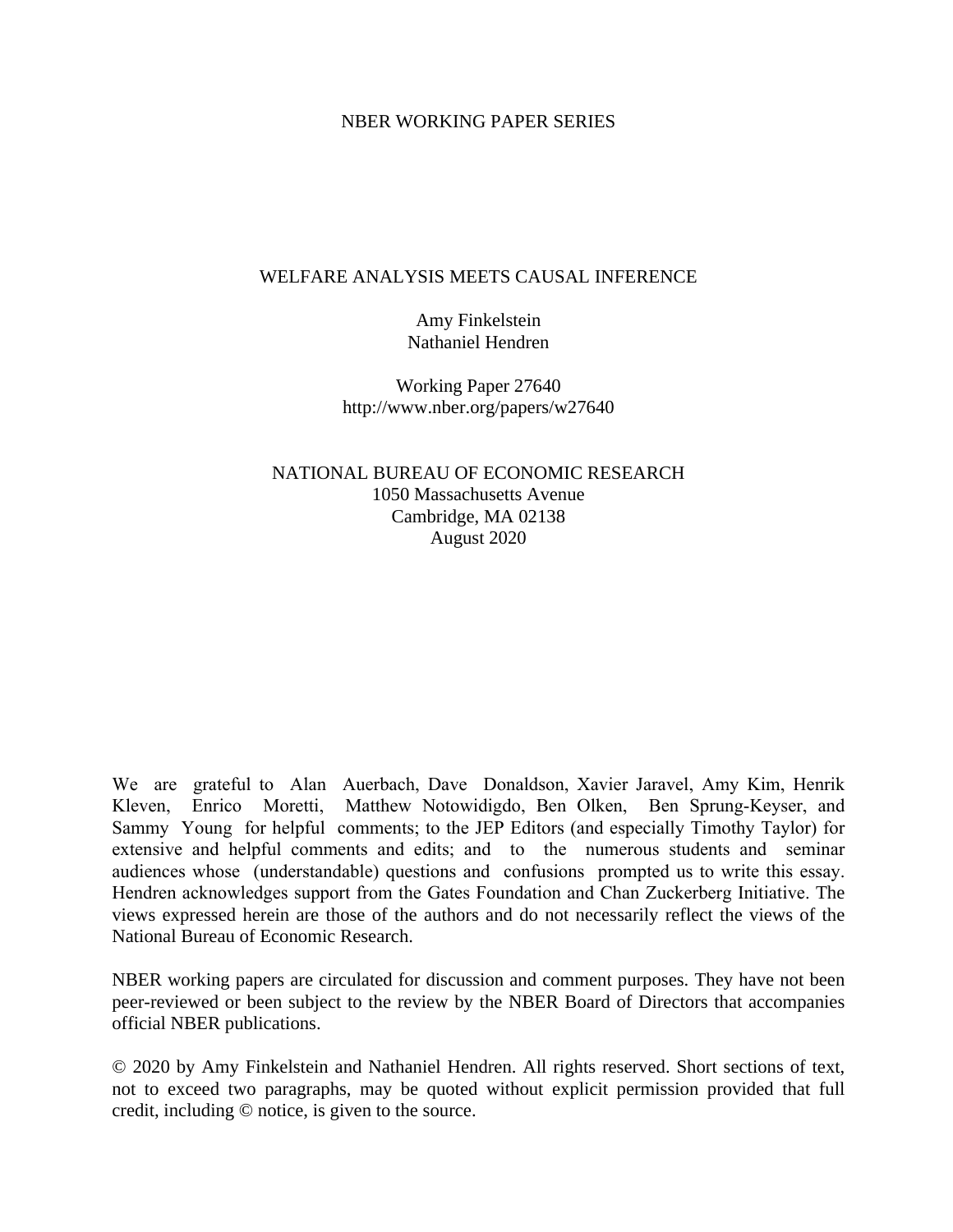### NBER WORKING PAPER SERIES

### WELFARE ANALYSIS MEETS CAUSAL INFERENCE

Amy Finkelstein Nathaniel Hendren

Working Paper 27640 http://www.nber.org/papers/w27640

NATIONAL BUREAU OF ECONOMIC RESEARCH 1050 Massachusetts Avenue Cambridge, MA 02138 August 2020

We are grateful to Alan Auerbach, Dave Donaldson, Xavier Jaravel, Amy Kim, Henrik Kleven, Enrico Moretti, Matthew Notowidigdo, Ben Olken, Ben Sprung-Keyser, and Sammy Young for helpful comments; to the JEP Editors (and especially Timothy Taylor) for extensive and helpful comments and edits; and to the numerous students and seminar audiences whose (understandable) questions and confusions prompted us to write this essay. Hendren acknowledges support from the Gates Foundation and Chan Zuckerberg Initiative. The views expressed herein are those of the authors and do not necessarily reflect the views of the National Bureau of Economic Research.

NBER working papers are circulated for discussion and comment purposes. They have not been peer-reviewed or been subject to the review by the NBER Board of Directors that accompanies official NBER publications.

© 2020 by Amy Finkelstein and Nathaniel Hendren. All rights reserved. Short sections of text, not to exceed two paragraphs, may be quoted without explicit permission provided that full credit, including © notice, is given to the source.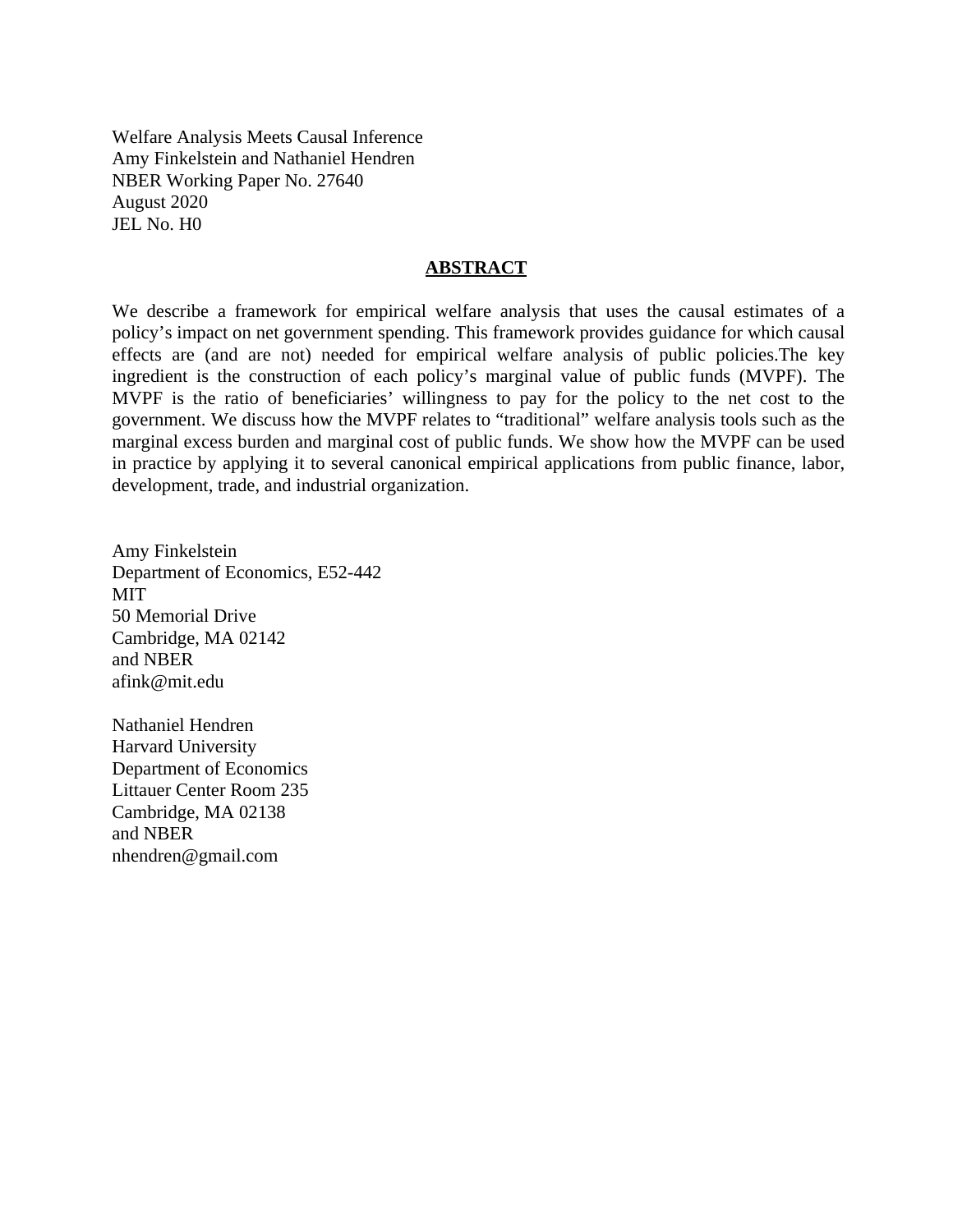Welfare Analysis Meets Causal Inference Amy Finkelstein and Nathaniel Hendren NBER Working Paper No. 27640 August 2020 JEL No. H0

### **ABSTRACT**

We describe a framework for empirical welfare analysis that uses the causal estimates of a policy's impact on net government spending. This framework provides guidance for which causal effects are (and are not) needed for empirical welfare analysis of public policies.The key ingredient is the construction of each policy's marginal value of public funds (MVPF). The MVPF is the ratio of beneficiaries' willingness to pay for the policy to the net cost to the government. We discuss how the MVPF relates to "traditional" welfare analysis tools such as the marginal excess burden and marginal cost of public funds. We show how the MVPF can be used in practice by applying it to several canonical empirical applications from public finance, labor, development, trade, and industrial organization.

Amy Finkelstein Department of Economics, E52-442 MIT 50 Memorial Drive Cambridge, MA 02142 and NBER afink@mit.edu

Nathaniel Hendren Harvard University Department of Economics Littauer Center Room 235 Cambridge, MA 02138 and NBER nhendren@gmail.com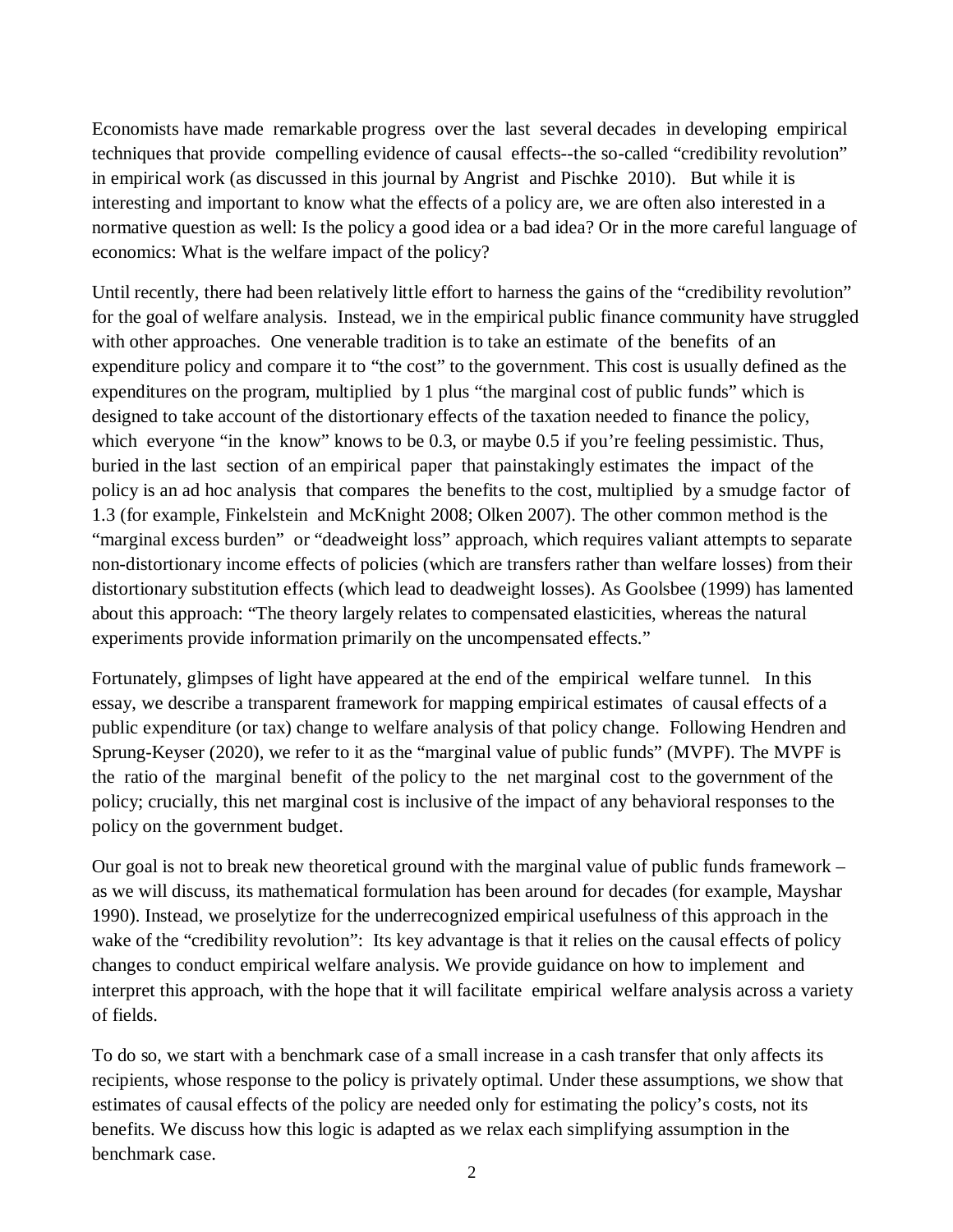Economists have made remarkable progress over the last several decades in developing empirical techniques that provide compelling evidence of causal effects--the so-called "credibility revolution" in empirical work (as discussed in this journal by Angrist and Pischke 2010). But while it is interesting and important to know what the effects of a policy are, we are often also interested in a normative question as well: Is the policy a good idea or a bad idea? Or in the more careful language of economics: What is the welfare impact of the policy?

Until recently, there had been relatively little effort to harness the gains of the "credibility revolution" for the goal of welfare analysis. Instead, we in the empirical public finance community have struggled with other approaches. One venerable tradition is to take an estimate of the benefits of an expenditure policy and compare it to "the cost" to the government. This cost is usually defined as the expenditures on the program, multiplied by 1 plus "the marginal cost of public funds" which is designed to take account of the distortionary effects of the taxation needed to finance the policy, which everyone "in the know" knows to be 0.3, or maybe 0.5 if you're feeling pessimistic. Thus, buried in the last section of an empirical paper that painstakingly estimates the impact of the policy is an ad hoc analysis that compares the benefits to the cost, multiplied by a smudge factor of 1.3 (for example, Finkelstein and McKnight 2008; Olken 2007). The other common method is the "marginal excess burden" or "deadweight loss" approach, which requires valiant attempts to separate non-distortionary income effects of policies (which are transfers rather than welfare losses) from their distortionary substitution effects (which lead to deadweight losses). As Goolsbee (1999) has lamented about this approach: "The theory largely relates to compensated elasticities, whereas the natural experiments provide information primarily on the uncompensated effects."

Fortunately, glimpses of light have appeared at the end of the empirical welfare tunnel. In this essay, we describe a transparent framework for mapping empirical estimates of causal effects of a public expenditure (or tax) change to welfare analysis of that policy change. Following Hendren and Sprung-Keyser (2020), we refer to it as the "marginal value of public funds" (MVPF). The MVPF is the ratio of the marginal benefit of the policy to the net marginal cost to the government of the policy; crucially, this net marginal cost is inclusive of the impact of any behavioral responses to the policy on the government budget.

Our goal is not to break new theoretical ground with the marginal value of public funds framework – as we will discuss, its mathematical formulation has been around for decades (for example, Mayshar 1990). Instead, we proselytize for the underrecognized empirical usefulness of this approach in the wake of the "credibility revolution": Its key advantage is that it relies on the causal effects of policy changes to conduct empirical welfare analysis. We provide guidance on how to implement and interpret this approach, with the hope that it will facilitate empirical welfare analysis across a variety of fields.

To do so, we start with a benchmark case of a small increase in a cash transfer that only affects its recipients, whose response to the policy is privately optimal. Under these assumptions, we show that estimates of causal effects of the policy are needed only for estimating the policy's costs, not its benefits. We discuss how this logic is adapted as we relax each simplifying assumption in the benchmark case.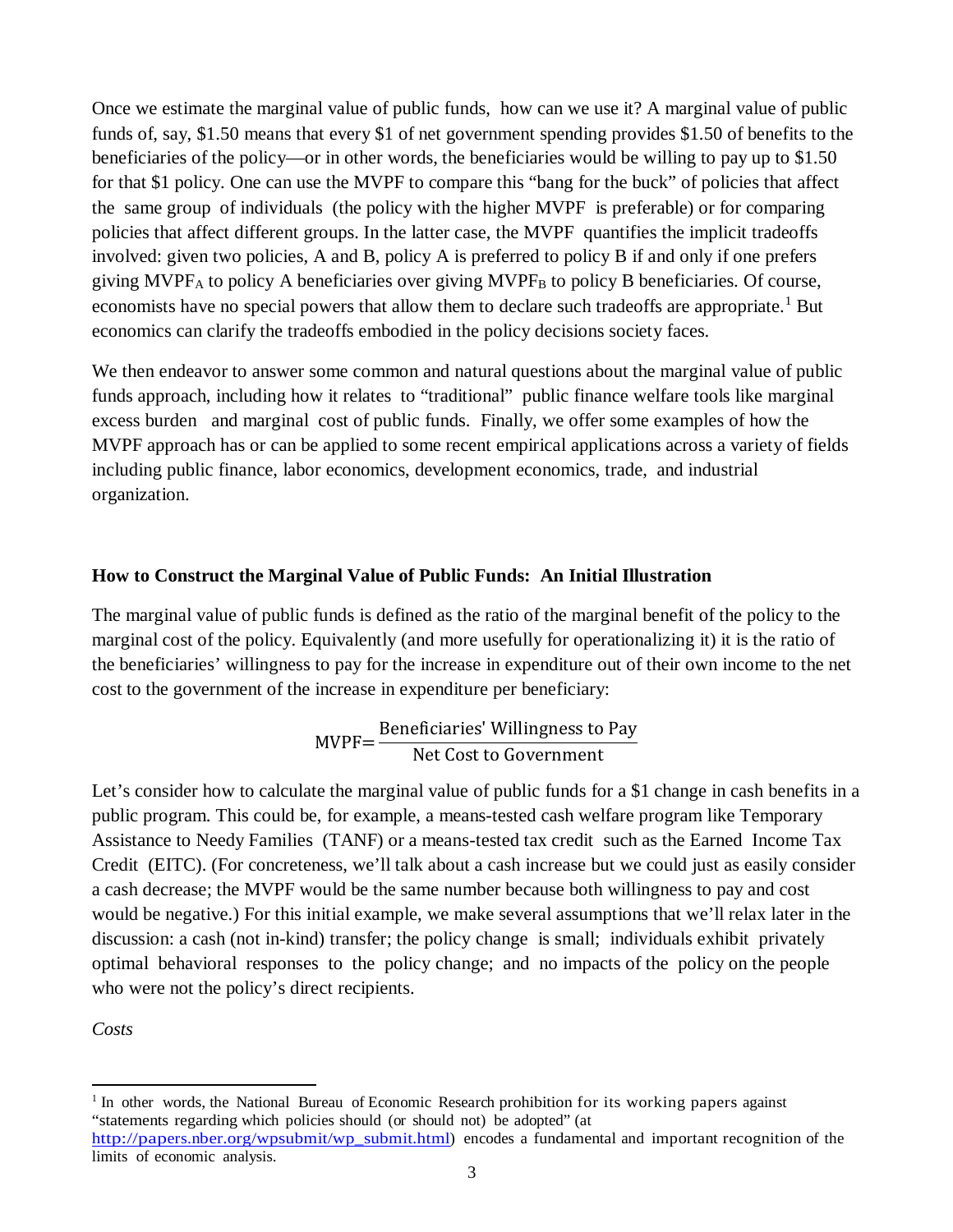Once we estimate the marginal value of public funds, how can we use it? A marginal value of public funds of, say, \$1.50 means that every \$1 of net government spending provides \$1.50 of benefits to the beneficiaries of the policy—or in other words, the beneficiaries would be willing to pay up to \$1.50 for that \$1 policy. One can use the MVPF to compare this "bang for the buck" of policies that affect the same group of individuals (the policy with the higher MVPF is preferable) or for comparing policies that affect different groups. In the latter case, the MVPF quantifies the implicit tradeoffs involved: given two policies, A and B, policy A is preferred to policy B if and only if one prefers giving MVPF<sub>A</sub> to policy A beneficiaries over giving MVPF<sub>B</sub> to policy B beneficiaries. Of course, economists have no special powers that allow them to declare such tradeoffs are appropriate.<sup>[1](#page-3-0)</sup> But economics can clarify the tradeoffs embodied in the policy decisions society faces.

We then endeavor to answer some common and natural questions about the marginal value of public funds approach, including how it relates to "traditional" public finance welfare tools like marginal excess burden and marginal cost of public funds. Finally, we offer some examples of how the MVPF approach has or can be applied to some recent empirical applications across a variety of fields including public finance, labor economics, development economics, trade, and industrial organization.

## **How to Construct the Marginal Value of Public Funds: An Initial Illustration**

The marginal value of public funds is defined as the ratio of the marginal benefit of the policy to the marginal cost of the policy. Equivalently (and more usefully for operationalizing it) it is the ratio of the beneficiaries' willingness to pay for the increase in expenditure out of their own income to the net cost to the government of the increase in expenditure per beneficiary:

$$
MVPF = \frac{\text{Beneficiaries' Williamsness to Pay}}{\text{Net Cost to Government}}
$$

Let's consider how to calculate the marginal value of public funds for a \$1 change in cash benefits in a public program. This could be, for example, a means-tested cash welfare program like Temporary Assistance to Needy Families (TANF) or a means-tested tax credit such as the Earned Income Tax Credit (EITC). (For concreteness, we'll talk about a cash increase but we could just as easily consider a cash decrease; the MVPF would be the same number because both willingness to pay and cost would be negative.) For this initial example, we make several assumptions that we'll relax later in the discussion: a cash (not in-kind) transfer; the policy change is small; individuals exhibit privately optimal behavioral responses to the policy change; and no impacts of the policy on the people who were not the policy's direct recipients.

*Costs*

 $\overline{a}$ 

<span id="page-3-0"></span> $<sup>1</sup>$  In other words, the National Bureau of Economic Research prohibition for its working papers against</sup> "statements regarding which policies should (or should not) be adopted" (at [http://papers.nber.org/wpsubmit/wp\\_submit.html\)](http://papers.nber.org/wpsubmit/wp_submit.html) encodes a fundamental and important recognition of the limits of economic analysis.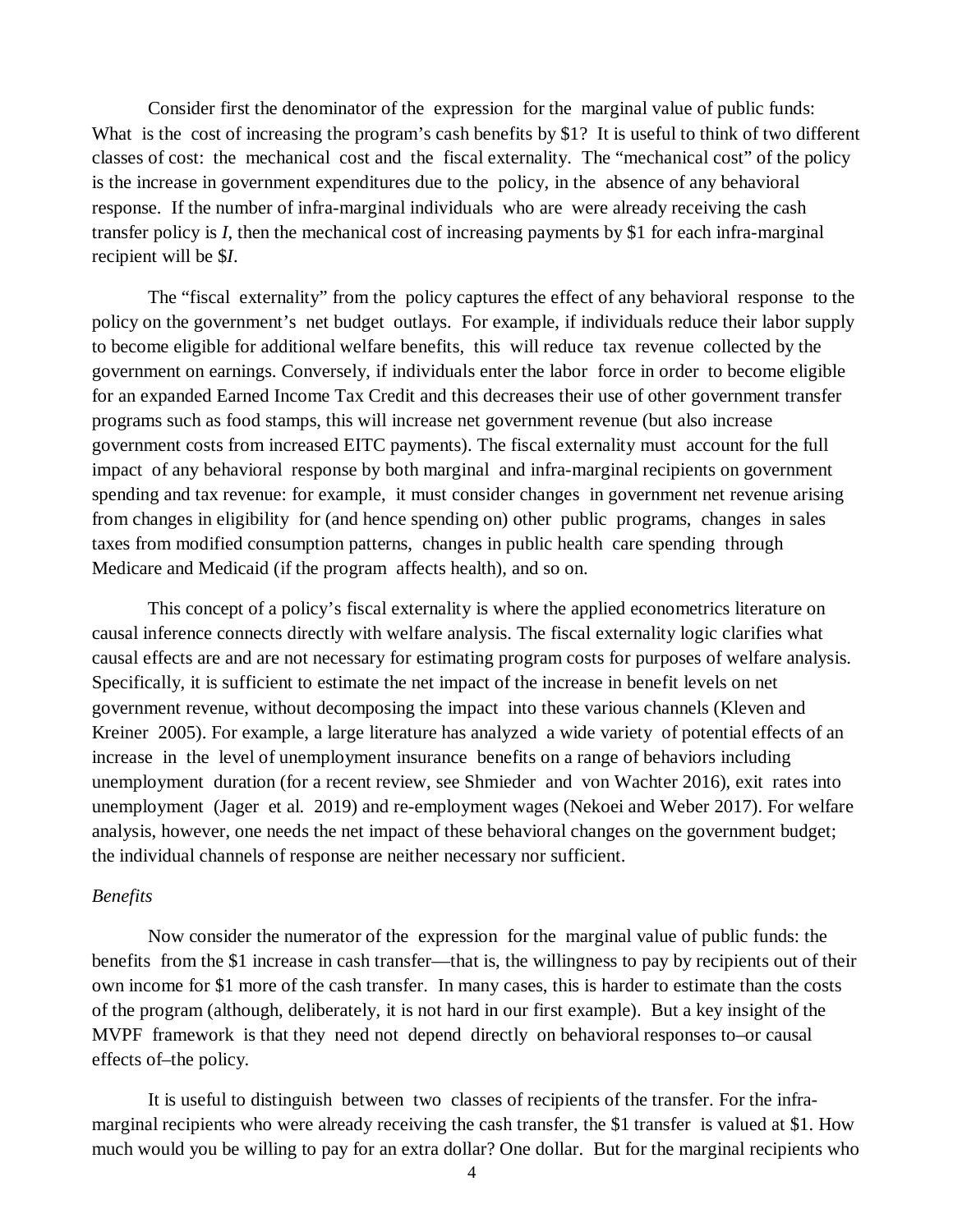Consider first the denominator of the expression for the marginal value of public funds: What is the cost of increasing the program's cash benefits by \$1? It is useful to think of two different classes of cost: the mechanical cost and the fiscal externality. The "mechanical cost" of the policy is the increase in government expenditures due to the policy, in the absence of any behavioral response. If the number of infra-marginal individuals who are were already receiving the cash transfer policy is *I*, then the mechanical cost of increasing payments by \$1 for each infra-marginal recipient will be \$*I*.

The "fiscal externality" from the policy captures the effect of any behavioral response to the policy on the government's net budget outlays. For example, if individuals reduce their labor supply to become eligible for additional welfare benefits, this will reduce tax revenue collected by the government on earnings. Conversely, if individuals enter the labor force in order to become eligible for an expanded Earned Income Tax Credit and this decreases their use of other government transfer programs such as food stamps, this will increase net government revenue (but also increase government costs from increased EITC payments). The fiscal externality must account for the full impact of any behavioral response by both marginal and infra-marginal recipients on government spending and tax revenue: for example, it must consider changes in government net revenue arising from changes in eligibility for (and hence spending on) other public programs, changes in sales taxes from modified consumption patterns, changes in public health care spending through Medicare and Medicaid (if the program affects health), and so on.

This concept of a policy's fiscal externality is where the applied econometrics literature on causal inference connects directly with welfare analysis. The fiscal externality logic clarifies what causal effects are and are not necessary for estimating program costs for purposes of welfare analysis. Specifically, it is sufficient to estimate the net impact of the increase in benefit levels on net government revenue, without decomposing the impact into these various channels (Kleven and Kreiner 2005). For example, a large literature has analyzed a wide variety of potential effects of an increase in the level of unemployment insurance benefits on a range of behaviors including unemployment duration (for a recent review, see Shmieder and von Wachter 2016), exit rates into unemployment (Jager et al. 2019) and re-employment wages (Nekoei and Weber 2017). For welfare analysis, however, one needs the net impact of these behavioral changes on the government budget; the individual channels of response are neither necessary nor sufficient.

#### *Benefits*

Now consider the numerator of the expression for the marginal value of public funds: the benefits from the \$1 increase in cash transfer—that is, the willingness to pay by recipients out of their own income for \$1 more of the cash transfer. In many cases, this is harder to estimate than the costs of the program (although, deliberately, it is not hard in our first example). But a key insight of the MVPF framework is that they need not depend directly on behavioral responses to–or causal effects of–the policy.

It is useful to distinguish between two classes of recipients of the transfer. For the inframarginal recipients who were already receiving the cash transfer, the \$1 transfer is valued at \$1. How much would you be willing to pay for an extra dollar? One dollar. But for the marginal recipients who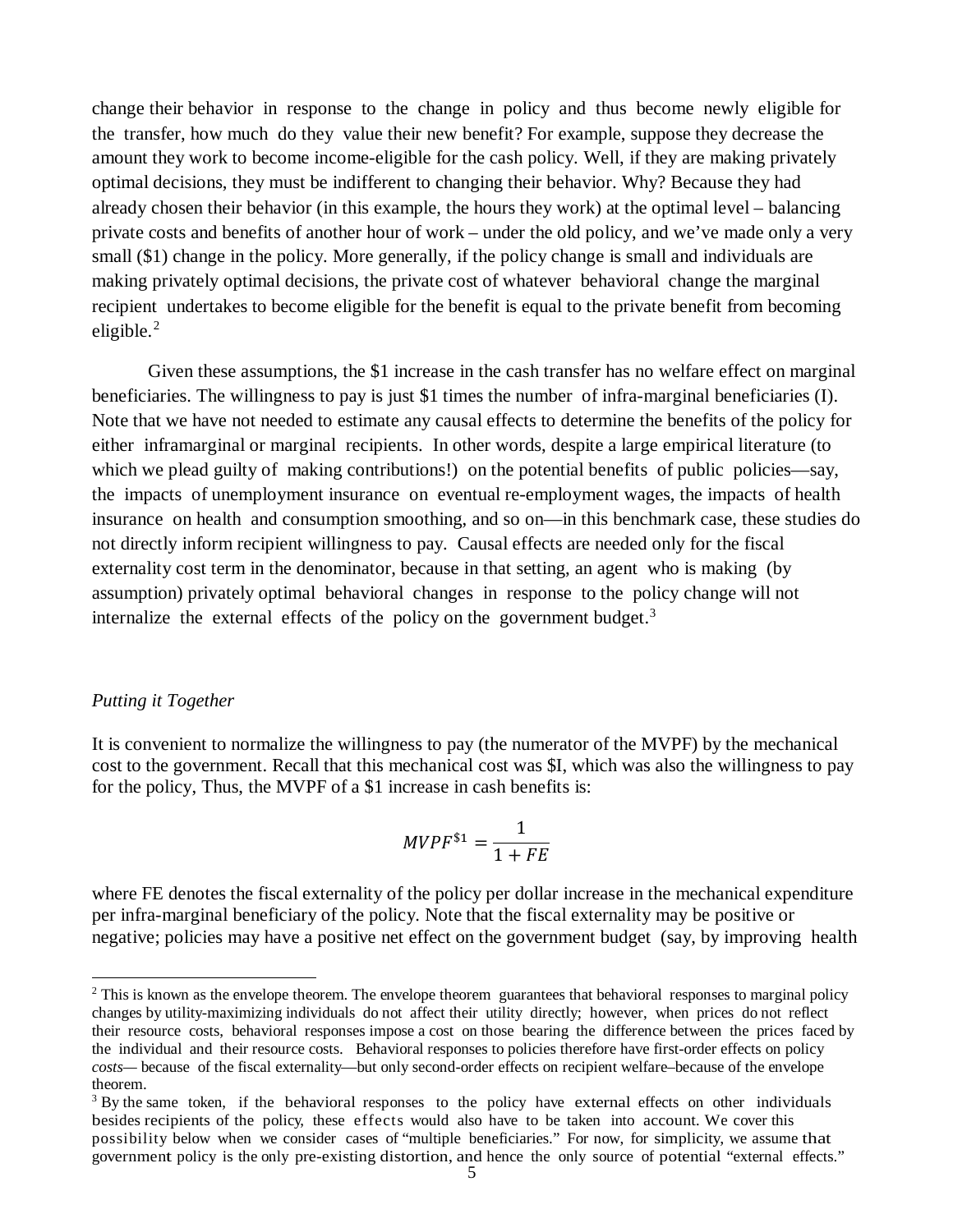change their behavior in response to the change in policy and thus become newly eligible for the transfer, how much do they value their new benefit? For example, suppose they decrease the amount they work to become income-eligible for the cash policy. Well, if they are making privately optimal decisions, they must be indifferent to changing their behavior. Why? Because they had already chosen their behavior (in this example, the hours they work) at the optimal level – balancing private costs and benefits of another hour of work – under the old policy, and we've made only a very small (\$1) change in the policy. More generally, if the policy change is small and individuals are making privately optimal decisions, the private cost of whatever behavioral change the marginal recipient undertakes to become eligible for the benefit is equal to the private benefit from becoming eligible. [2](#page-5-0)

Given these assumptions, the \$1 increase in the cash transfer has no welfare effect on marginal beneficiaries. The willingness to pay is just \$1 times the number of infra-marginal beneficiaries (I). Note that we have not needed to estimate any causal effects to determine the benefits of the policy for either inframarginal or marginal recipients. In other words, despite a large empirical literature (to which we plead guilty of making contributions!) on the potential benefits of public policies—say, the impacts of unemployment insurance on eventual re-employment wages, the impacts of health insurance on health and consumption smoothing, and so on—in this benchmark case, these studies do not directly inform recipient willingness to pay. Causal effects are needed only for the fiscal externality cost term in the denominator, because in that setting, an agent who is making (by assumption) privately optimal behavioral changes in response to the policy change will not internalize the external effects of the policy on the government budget.<sup>[3](#page-5-1)</sup>

### *Putting it Together*

 $\overline{a}$ 

It is convenient to normalize the willingness to pay (the numerator of the MVPF) by the mechanical cost to the government. Recall that this mechanical cost was \$I, which was also the willingness to pay for the policy, Thus, the MVPF of a \$1 increase in cash benefits is:

$$
MVPF^{\$1} = \frac{1}{1 + FE}
$$

where FE denotes the fiscal externality of the policy per dollar increase in the mechanical expenditure per infra-marginal beneficiary of the policy. Note that the fiscal externality may be positive or negative; policies may have a positive net effect on the government budget (say, by improving health

<span id="page-5-0"></span> $2$  This is known as the envelope theorem. The envelope theorem guarantees that behavioral responses to marginal policy changes by utility-maximizing individuals do not affect their utility directly; however, when prices do not reflect their resource costs, behavioral responses impose a cost on those bearing the difference between the prices faced by the individual and their resource costs. Behavioral responses to policies therefore have first-order effects on policy *costs—* because of the fiscal externality—but only second-order effects on recipient welfare–because of the envelope theorem.

<span id="page-5-1"></span><sup>&</sup>lt;sup>3</sup> By the same token, if the behavioral responses to the policy have external effects on other individuals besides recipients of the policy, these effects would also have to be taken into account. We cover this possibility below when we consider cases of "multiple beneficiaries." For now, for simplicity, we assume that government policy is the only pre-existing distortion, and hence the only source of potential "external effects."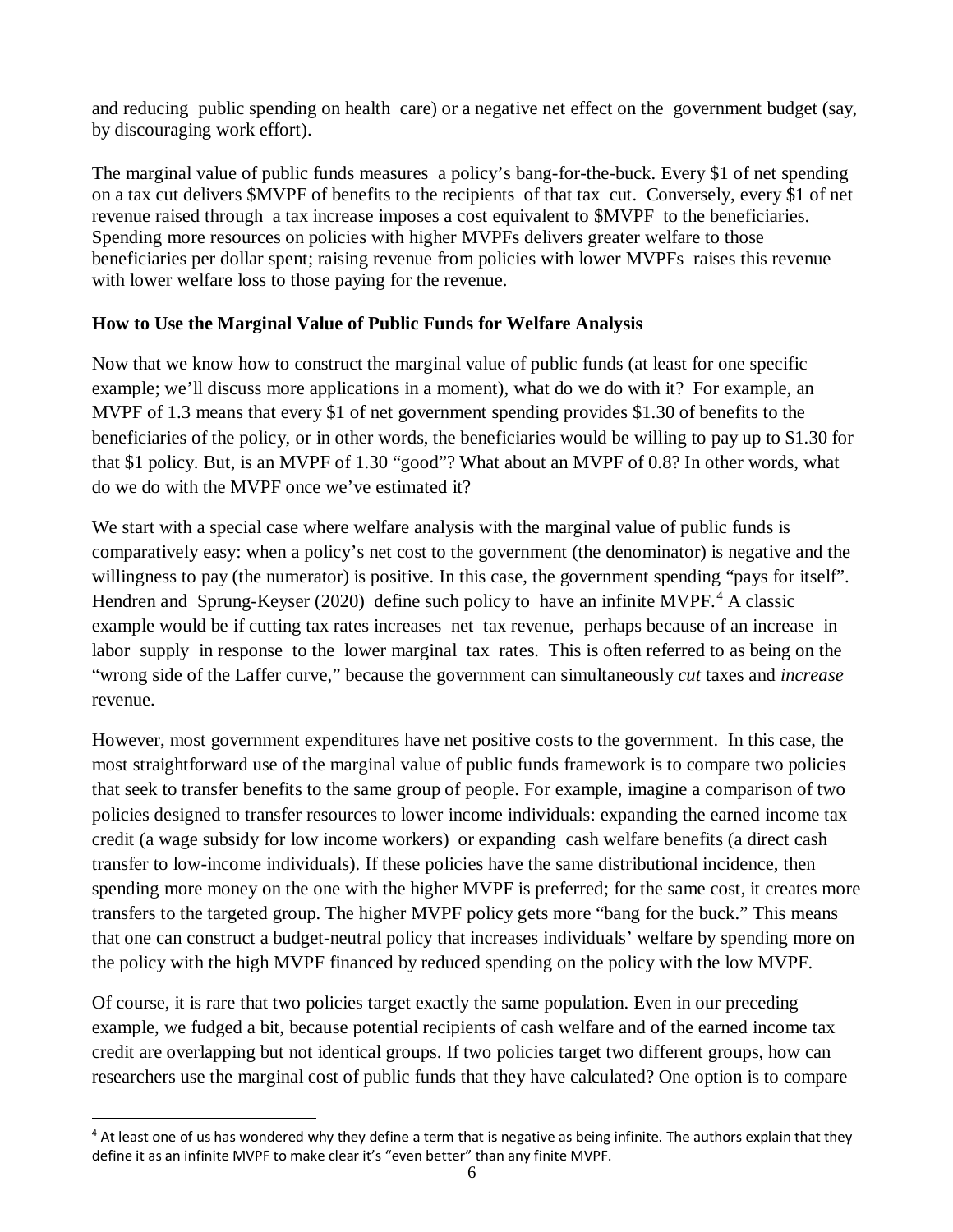and reducing public spending on health care) or a negative net effect on the government budget (say, by discouraging work effort).

The marginal value of public funds measures a policy's bang-for-the-buck. Every \$1 of net spending on a tax cut delivers \$MVPF of benefits to the recipients of that tax cut. Conversely, every \$1 of net revenue raised through a tax increase imposes a cost equivalent to \$MVPF to the beneficiaries. Spending more resources on policies with higher MVPFs delivers greater welfare to those beneficiaries per dollar spent; raising revenue from policies with lower MVPFs raises this revenue with lower welfare loss to those paying for the revenue.

## **How to Use the Marginal Value of Public Funds for Welfare Analysis**

Now that we know how to construct the marginal value of public funds (at least for one specific example; we'll discuss more applications in a moment), what do we do with it? For example, an MVPF of 1.3 means that every \$1 of net government spending provides \$1.30 of benefits to the beneficiaries of the policy, or in other words, the beneficiaries would be willing to pay up to \$1.30 for that \$1 policy. But, is an MVPF of 1.30 "good"? What about an MVPF of 0.8? In other words, what do we do with the MVPF once we've estimated it?

We start with a special case where welfare analysis with the marginal value of public funds is comparatively easy: when a policy's net cost to the government (the denominator) is negative and the willingness to pay (the numerator) is positive. In this case, the government spending "pays for itself". Hendren and Sprung-Keyser (2020) define such policy to have an infinite MVPF.<sup>[4](#page-6-0)</sup> A classic example would be if cutting tax rates increases net tax revenue, perhaps because of an increase in labor supply in response to the lower marginal tax rates. This is often referred to as being on the "wrong side of the Laffer curve," because the government can simultaneously *cut* taxes and *increase* revenue.

However, most government expenditures have net positive costs to the government. In this case, the most straightforward use of the marginal value of public funds framework is to compare two policies that seek to transfer benefits to the same group of people. For example, imagine a comparison of two policies designed to transfer resources to lower income individuals: expanding the earned income tax credit (a wage subsidy for low income workers) or expanding cash welfare benefits (a direct cash transfer to low-income individuals). If these policies have the same distributional incidence, then spending more money on the one with the higher MVPF is preferred; for the same cost, it creates more transfers to the targeted group. The higher MVPF policy gets more "bang for the buck." This means that one can construct a budget-neutral policy that increases individuals' welfare by spending more on the policy with the high MVPF financed by reduced spending on the policy with the low MVPF.

Of course, it is rare that two policies target exactly the same population. Even in our preceding example, we fudged a bit, because potential recipients of cash welfare and of the earned income tax credit are overlapping but not identical groups. If two policies target two different groups, how can researchers use the marginal cost of public funds that they have calculated? One option is to compare

 $\overline{a}$ 

<span id="page-6-0"></span> $4$  At least one of us has wondered why they define a term that is negative as being infinite. The authors explain that they define it as an infinite MVPF to make clear it's "even better" than any finite MVPF.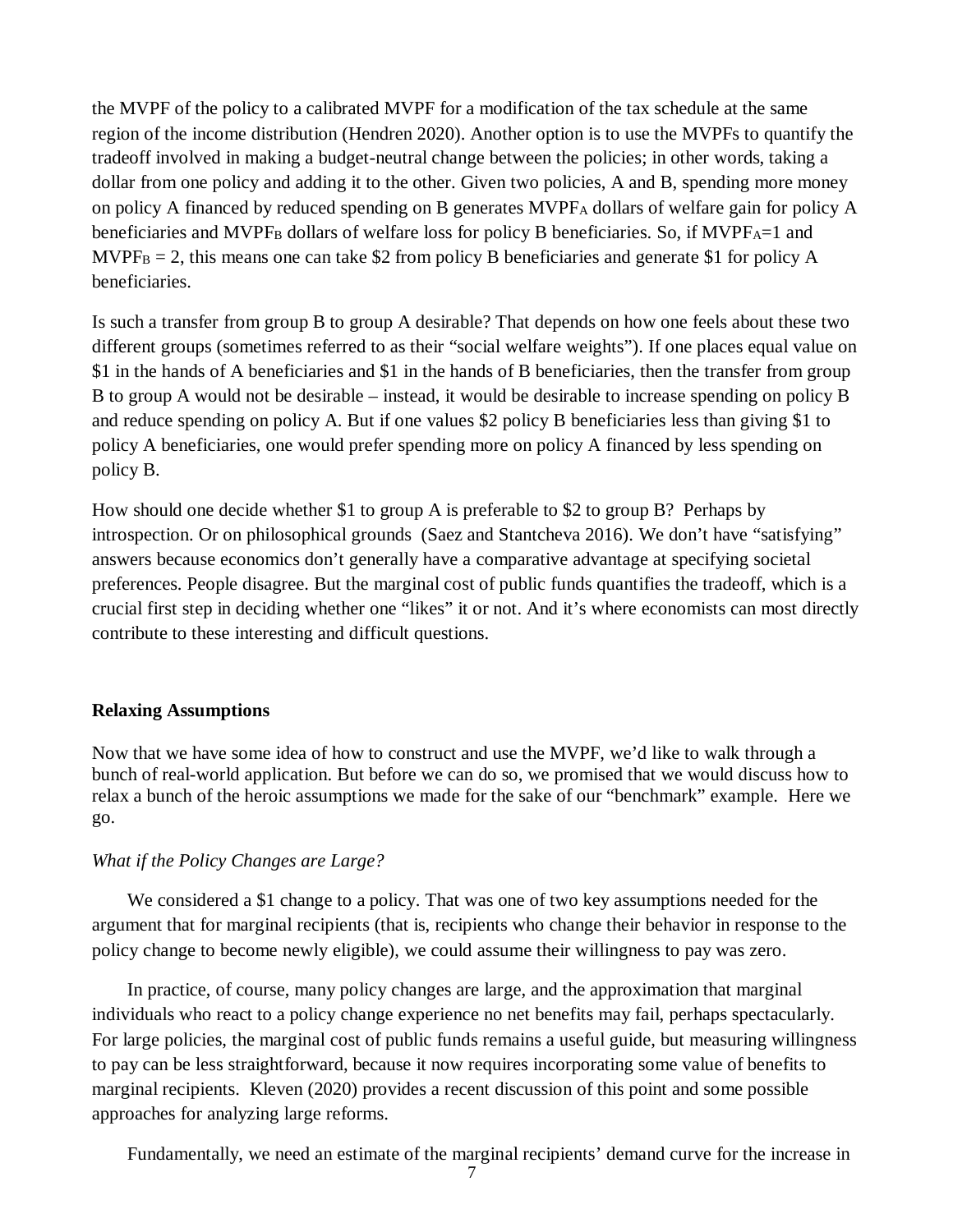the MVPF of the policy to a calibrated MVPF for a modification of the tax schedule at the same region of the income distribution (Hendren 2020). Another option is to use the MVPFs to quantify the tradeoff involved in making a budget-neutral change between the policies; in other words, taking a dollar from one policy and adding it to the other. Given two policies, A and B, spending more money on policy A financed by reduced spending on B generates  $MVPF_A$  dollars of welfare gain for policy A beneficiaries and MVPF<sub>B</sub> dollars of welfare loss for policy B beneficiaries. So, if MVPF<sub>A</sub>=1 and  $MVPF_B = 2$ , this means one can take \$2 from policy B beneficiaries and generate \$1 for policy A beneficiaries.

Is such a transfer from group B to group A desirable? That depends on how one feels about these two different groups (sometimes referred to as their "social welfare weights"). If one places equal value on \$1 in the hands of A beneficiaries and \$1 in the hands of B beneficiaries, then the transfer from group B to group A would not be desirable – instead, it would be desirable to increase spending on policy B and reduce spending on policy A. But if one values \$2 policy B beneficiaries less than giving \$1 to policy A beneficiaries, one would prefer spending more on policy A financed by less spending on policy B.

How should one decide whether \$1 to group A is preferable to \$2 to group B? Perhaps by introspection. Or on philosophical grounds (Saez and Stantcheva 2016). We don't have "satisfying" answers because economics don't generally have a comparative advantage at specifying societal preferences. People disagree. But the marginal cost of public funds quantifies the tradeoff, which is a crucial first step in deciding whether one "likes" it or not. And it's where economists can most directly contribute to these interesting and difficult questions.

### **Relaxing Assumptions**

Now that we have some idea of how to construct and use the MVPF, we'd like to walk through a bunch of real-world application. But before we can do so, we promised that we would discuss how to relax a bunch of the heroic assumptions we made for the sake of our "benchmark" example. Here we go.

#### *What if the Policy Changes are Large?*

We considered a \$1 change to a policy. That was one of two key assumptions needed for the argument that for marginal recipients (that is, recipients who change their behavior in response to the policy change to become newly eligible), we could assume their willingness to pay was zero.

In practice, of course, many policy changes are large, and the approximation that marginal individuals who react to a policy change experience no net benefits may fail, perhaps spectacularly. For large policies, the marginal cost of public funds remains a useful guide, but measuring willingness to pay can be less straightforward, because it now requires incorporating some value of benefits to marginal recipients. Kleven (2020) provides a recent discussion of this point and some possible approaches for analyzing large reforms.

Fundamentally, we need an estimate of the marginal recipients' demand curve for the increase in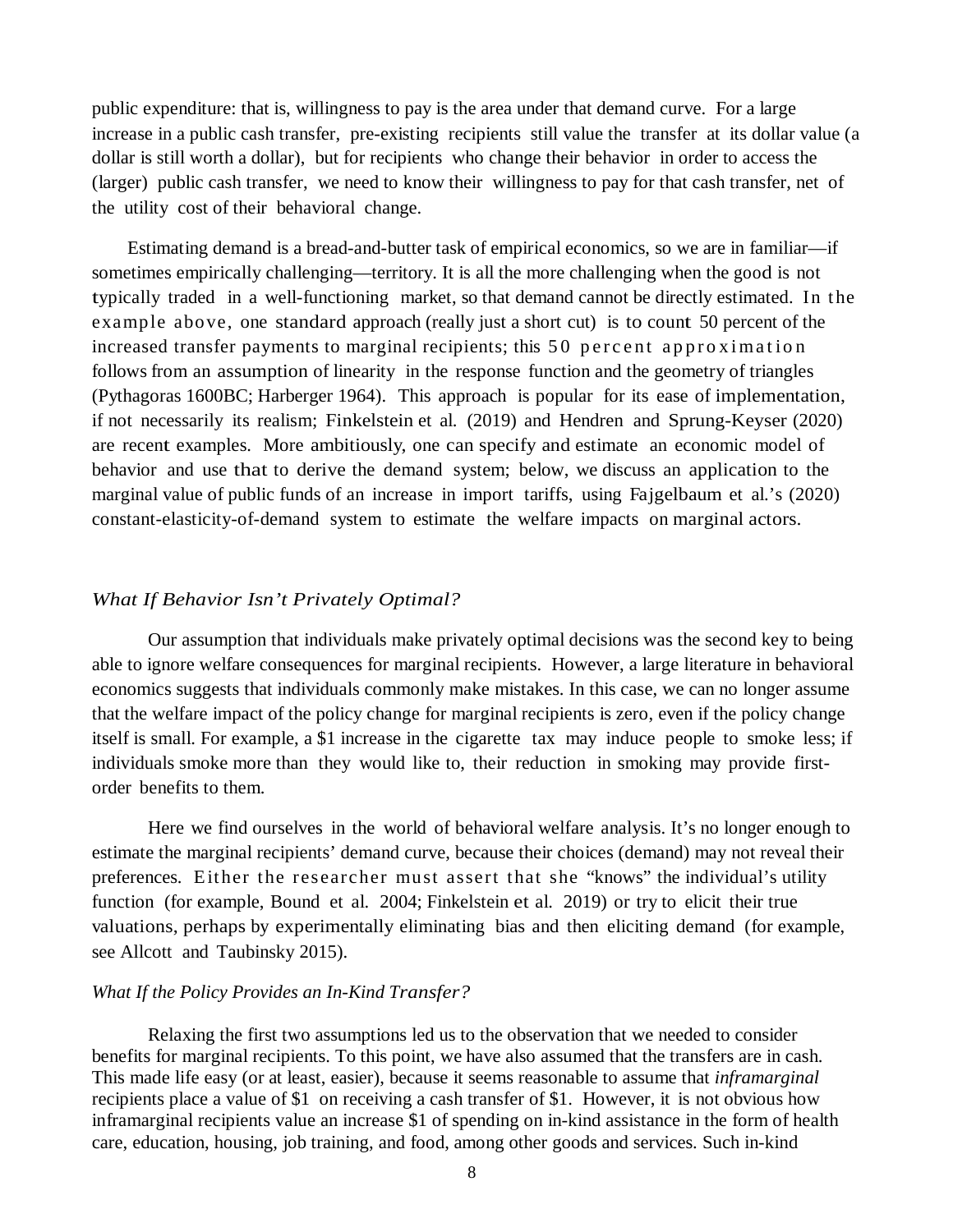public expenditure: that is, willingness to pay is the area under that demand curve. For a large increase in a public cash transfer, pre-existing recipients still value the transfer at its dollar value (a dollar is still worth a dollar), but for recipients who change their behavior in order to access the (larger) public cash transfer, we need to know their willingness to pay for that cash transfer, net of the utility cost of their behavioral change.

Estimating demand is a bread-and-butter task of empirical economics, so we are in familiar—if sometimes empirically challenging—territory. It is all the more challenging when the good is not typically traded in a well-functioning market, so that demand cannot be directly estimated. In the example above, one standard approach (really just a short cut) is to count 50 percent of the increased transfer payments to marginal recipients; this 50 percent approximation follows from an assumption of linearity in the response function and the geometry of triangles (Pythagoras 1600BC; Harberger 1964). This approach is popular for its ease of implementation, if not necessarily its realism; Finkelstein et al. (2019) and Hendren and Sprung-Keyser (2020) are recent examples. More ambitiously, one can specify and estimate an economic model of behavior and use that to derive the demand system; below, we discuss an application to the marginal value of public funds of an increase in import tariffs, using Fajgelbaum et al.'s (2020) constant-elasticity-of-demand system to estimate the welfare impacts on marginal actors.

### *What If Behavior Isn't Privately Optimal?*

Our assumption that individuals make privately optimal decisions was the second key to being able to ignore welfare consequences for marginal recipients. However, a large literature in behavioral economics suggests that individuals commonly make mistakes. In this case, we can no longer assume that the welfare impact of the policy change for marginal recipients is zero, even if the policy change itself is small. For example, a \$1 increase in the cigarette tax may induce people to smoke less; if individuals smoke more than they would like to, their reduction in smoking may provide firstorder benefits to them.

Here we find ourselves in the world of behavioral welfare analysis. It's no longer enough to estimate the marginal recipients' demand curve, because their choices (demand) may not reveal their preferences. Either the researcher must assert that she "knows" the individual's utility function (for example, Bound et al. 2004; Finkelstein et al. 2019) or try to elicit their true valuations, perhaps by experimentally eliminating bias and then eliciting demand (for example, see Allcott and Taubinsky 2015).

#### *What If the Policy Provides an In-Kind Transfer?*

Relaxing the first two assumptions led us to the observation that we needed to consider benefits for marginal recipients. To this point, we have also assumed that the transfers are in cash. This made life easy (or at least, easier), because it seems reasonable to assume that *inframarginal* recipients place a value of \$1 on receiving a cash transfer of \$1. However, it is not obvious how inframarginal recipients value an increase \$1 of spending on in-kind assistance in the form of health care, education, housing, job training, and food, among other goods and services. Such in-kind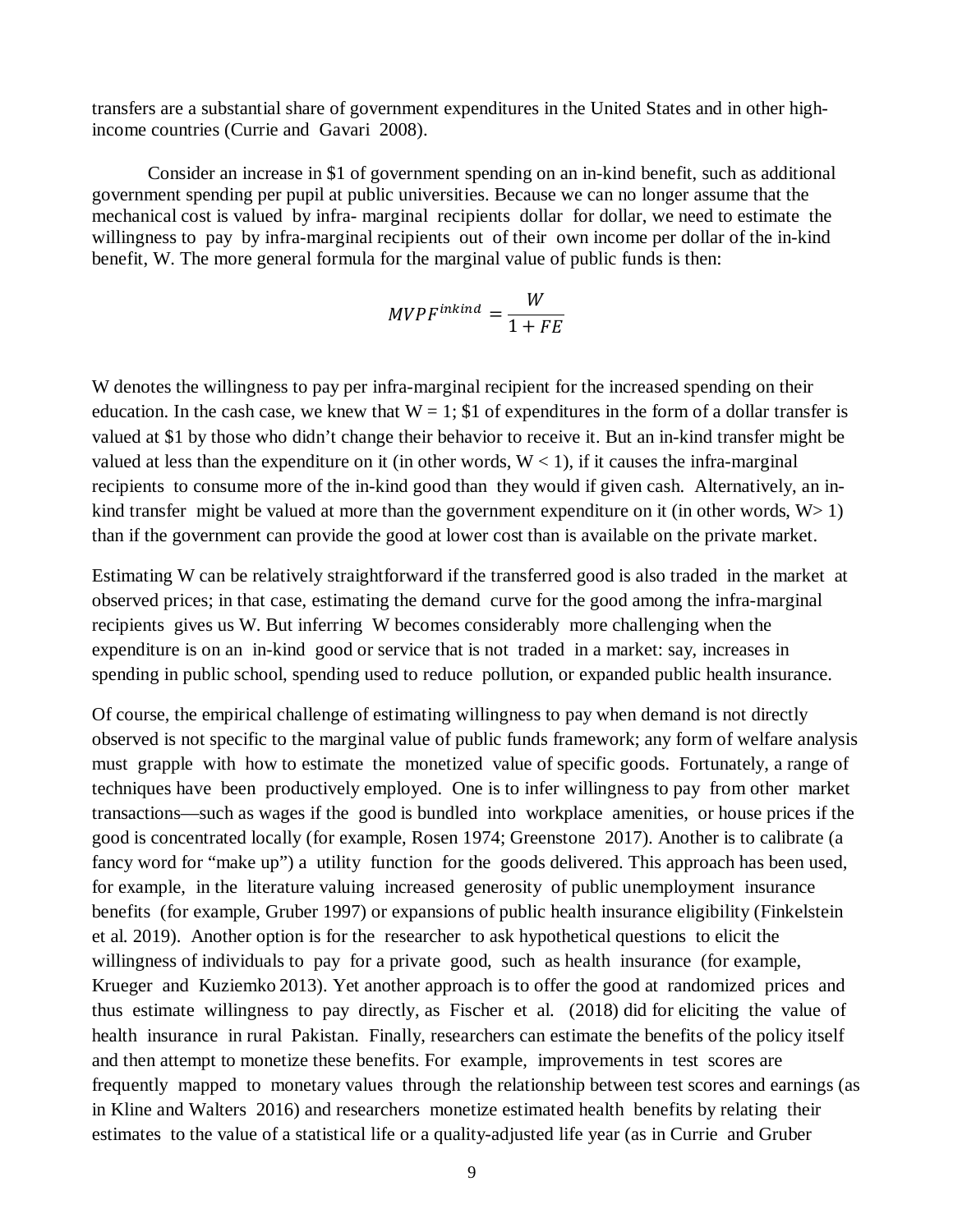transfers are a substantial share of government expenditures in the United States and in other highincome countries (Currie and Gavari 2008).

Consider an increase in \$1 of government spending on an in-kind benefit, such as additional government spending per pupil at public universities. Because we can no longer assume that the mechanical cost is valued by infra- marginal recipients dollar for dollar, we need to estimate the willingness to pay by infra-marginal recipients out of their own income per dollar of the in-kind benefit, W. The more general formula for the marginal value of public funds is then:

$$
MVPF^{inkind} = \frac{W}{1 + FE}
$$

W denotes the willingness to pay per infra-marginal recipient for the increased spending on their education. In the cash case, we knew that  $W = 1$ ; \$1 of expenditures in the form of a dollar transfer is valued at \$1 by those who didn't change their behavior to receive it. But an in-kind transfer might be valued at less than the expenditure on it (in other words,  $W < 1$ ), if it causes the infra-marginal recipients to consume more of the in-kind good than they would if given cash. Alternatively, an inkind transfer might be valued at more than the government expenditure on it (in other words,  $W > 1$ ) than if the government can provide the good at lower cost than is available on the private market.

Estimating W can be relatively straightforward if the transferred good is also traded in the market at observed prices; in that case, estimating the demand curve for the good among the infra-marginal recipients gives us W. But inferring W becomes considerably more challenging when the expenditure is on an in-kind good or service that is not traded in a market: say, increases in spending in public school, spending used to reduce pollution, or expanded public health insurance.

Of course, the empirical challenge of estimating willingness to pay when demand is not directly observed is not specific to the marginal value of public funds framework; any form of welfare analysis must grapple with how to estimate the monetized value of specific goods. Fortunately, a range of techniques have been productively employed. One is to infer willingness to pay from other market transactions—such as wages if the good is bundled into workplace amenities, or house prices if the good is concentrated locally (for example, Rosen 1974; Greenstone 2017). Another is to calibrate (a fancy word for "make up") a utility function for the goods delivered. This approach has been used, for example, in the literature valuing increased generosity of public unemployment insurance benefits (for example, Gruber 1997) or expansions of public health insurance eligibility (Finkelstein et al. 2019). Another option is for the researcher to ask hypothetical questions to elicit the willingness of individuals to pay for a private good, such as health insurance (for example, Krueger and Kuziemko 2013). Yet another approach is to offer the good at randomized prices and thus estimate willingness to pay directly, as Fischer et al. (2018) did for eliciting the value of health insurance in rural Pakistan. Finally, researchers can estimate the benefits of the policy itself and then attempt to monetize these benefits. For example, improvements in test scores are frequently mapped to monetary values through the relationship between test scores and earnings (as in Kline and Walters 2016) and researchers monetize estimated health benefits by relating their estimates to the value of a statistical life or a quality-adjusted life year (as in Currie and Gruber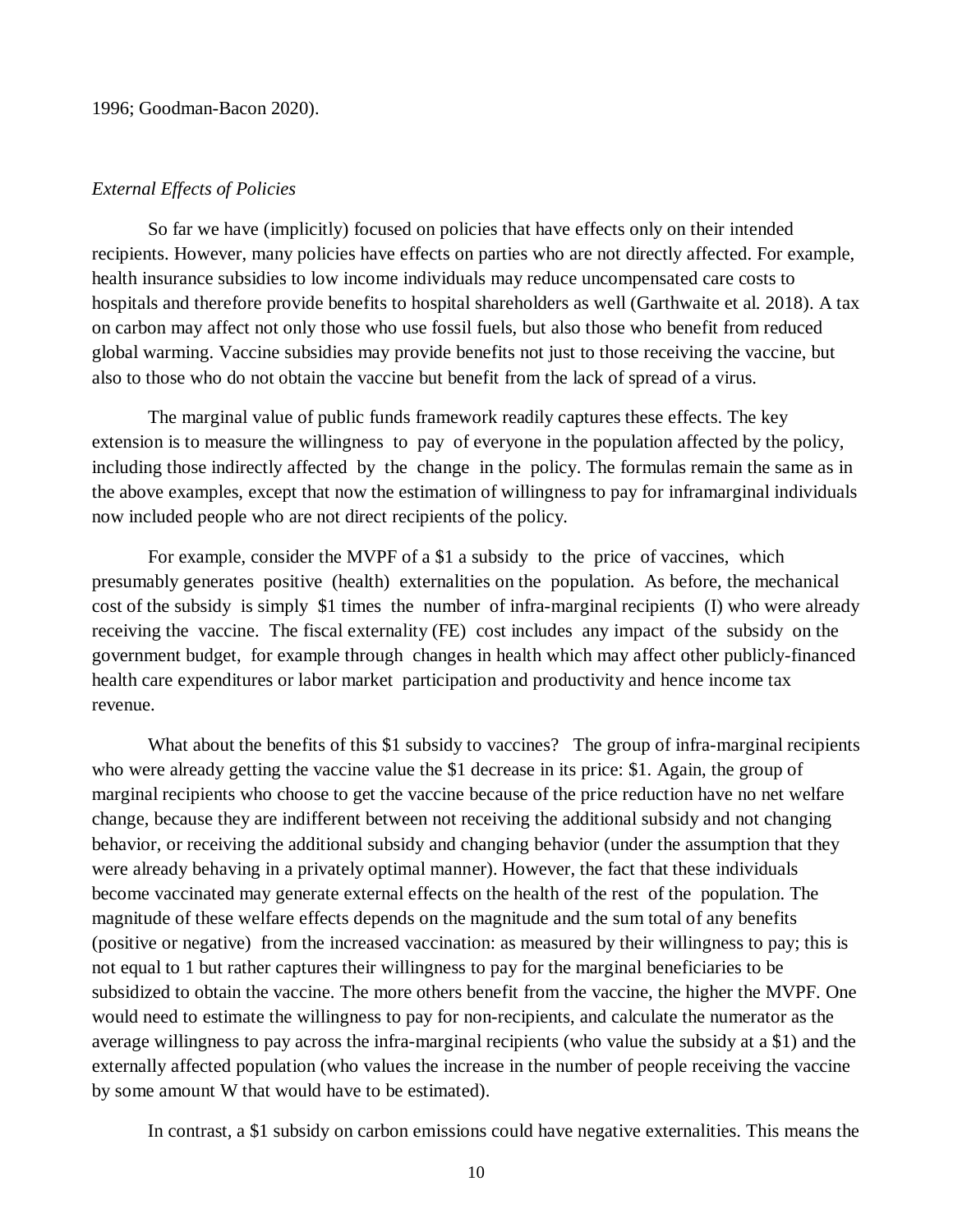### *External Effects of Policies*

So far we have (implicitly) focused on policies that have effects only on their intended recipients. However, many policies have effects on parties who are not directly affected. For example, health insurance subsidies to low income individuals may reduce uncompensated care costs to hospitals and therefore provide benefits to hospital shareholders as well (Garthwaite et al. 2018). A tax on carbon may affect not only those who use fossil fuels, but also those who benefit from reduced global warming. Vaccine subsidies may provide benefits not just to those receiving the vaccine, but also to those who do not obtain the vaccine but benefit from the lack of spread of a virus.

The marginal value of public funds framework readily captures these effects. The key extension is to measure the willingness to pay of everyone in the population affected by the policy, including those indirectly affected by the change in the policy. The formulas remain the same as in the above examples, except that now the estimation of willingness to pay for inframarginal individuals now included people who are not direct recipients of the policy.

For example, consider the MVPF of a \$1 a subsidy to the price of vaccines, which presumably generates positive (health) externalities on the population. As before, the mechanical cost of the subsidy is simply \$1 times the number of infra-marginal recipients (I) who were already receiving the vaccine. The fiscal externality (FE) cost includes any impact of the subsidy on the government budget, for example through changes in health which may affect other publicly-financed health care expenditures or labor market participation and productivity and hence income tax revenue.

What about the benefits of this \$1 subsidy to vaccines? The group of infra-marginal recipients who were already getting the vaccine value the \$1 decrease in its price: \$1. Again, the group of marginal recipients who choose to get the vaccine because of the price reduction have no net welfare change, because they are indifferent between not receiving the additional subsidy and not changing behavior, or receiving the additional subsidy and changing behavior (under the assumption that they were already behaving in a privately optimal manner). However, the fact that these individuals become vaccinated may generate external effects on the health of the rest of the population. The magnitude of these welfare effects depends on the magnitude and the sum total of any benefits (positive or negative) from the increased vaccination: as measured by their willingness to pay; this is not equal to 1 but rather captures their willingness to pay for the marginal beneficiaries to be subsidized to obtain the vaccine. The more others benefit from the vaccine, the higher the MVPF. One would need to estimate the willingness to pay for non-recipients, and calculate the numerator as the average willingness to pay across the infra-marginal recipients (who value the subsidy at a \$1) and the externally affected population (who values the increase in the number of people receiving the vaccine by some amount W that would have to be estimated).

In contrast, a \$1 subsidy on carbon emissions could have negative externalities. This means the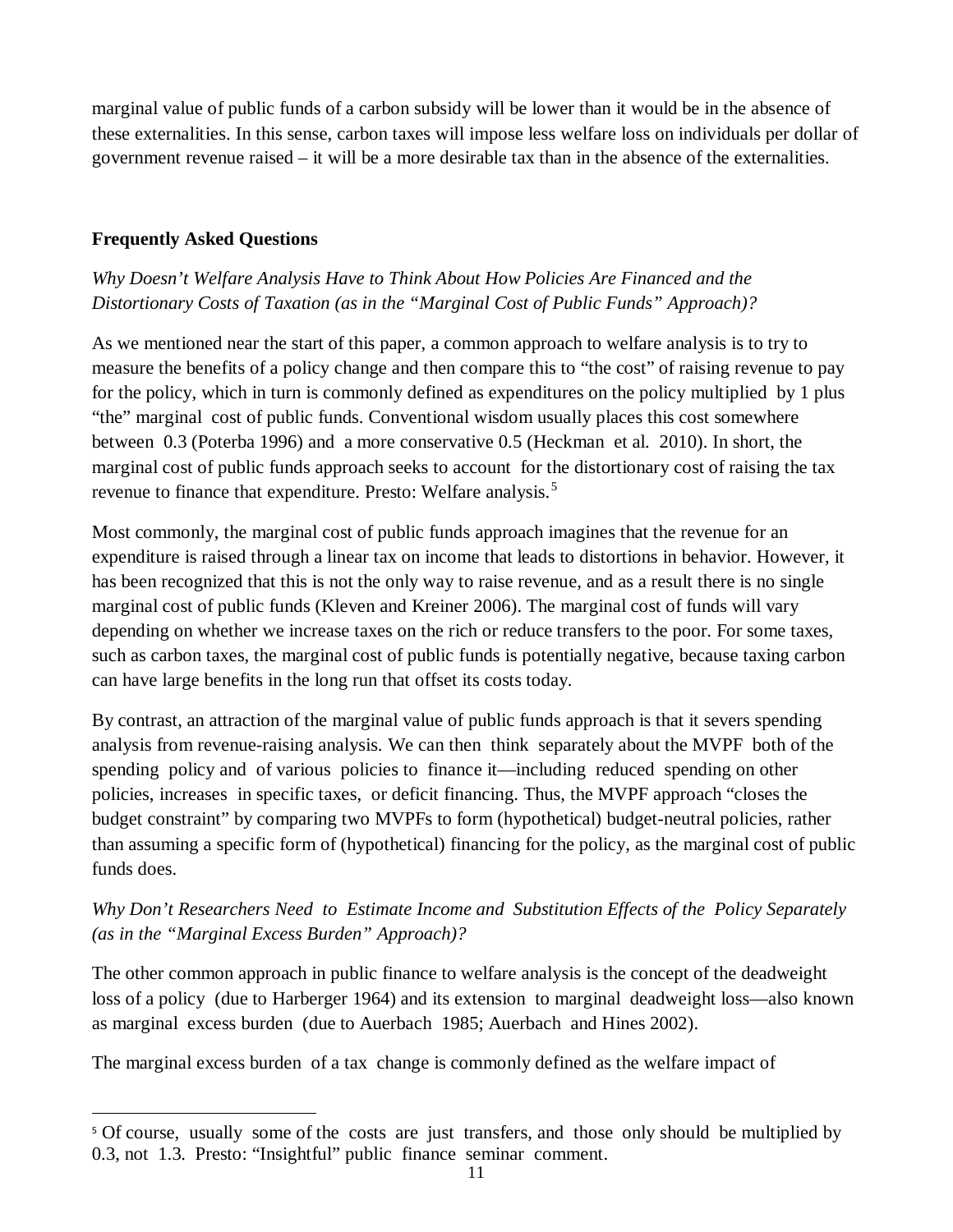marginal value of public funds of a carbon subsidy will be lower than it would be in the absence of these externalities. In this sense, carbon taxes will impose less welfare loss on individuals per dollar of government revenue raised – it will be a more desirable tax than in the absence of the externalities.

## **Frequently Asked Questions**

 $\overline{a}$ 

# *Why Doesn't Welfare Analysis Have to Think About How Policies Are Financed and the Distortionary Costs of Taxation (as in the "Marginal Cost of Public Funds" Approach)?*

As we mentioned near the start of this paper, a common approach to welfare analysis is to try to measure the benefits of a policy change and then compare this to "the cost" of raising revenue to pay for the policy, which in turn is commonly defined as expenditures on the policy multiplied by 1 plus "the" marginal cost of public funds. Conventional wisdom usually places this cost somewhere between 0.3 (Poterba 1996) and a more conservative 0.5 (Heckman et al. 2010). In short, the marginal cost of public funds approach seeks to account for the distortionary cost of raising the tax revenue to finance that expenditure. Presto: Welfare analysis.<sup>[5](#page-11-0)</sup>

Most commonly, the marginal cost of public funds approach imagines that the revenue for an expenditure is raised through a linear tax on income that leads to distortions in behavior. However, it has been recognized that this is not the only way to raise revenue, and as a result there is no single marginal cost of public funds (Kleven and Kreiner 2006). The marginal cost of funds will vary depending on whether we increase taxes on the rich or reduce transfers to the poor. For some taxes, such as carbon taxes, the marginal cost of public funds is potentially negative, because taxing carbon can have large benefits in the long run that offset its costs today.

By contrast, an attraction of the marginal value of public funds approach is that it severs spending analysis from revenue-raising analysis. We can then think separately about the MVPF both of the spending policy and of various policies to finance it—including reduced spending on other policies, increases in specific taxes, or deficit financing. Thus, the MVPF approach "closes the budget constraint" by comparing two MVPFs to form (hypothetical) budget-neutral policies, rather than assuming a specific form of (hypothetical) financing for the policy, as the marginal cost of public funds does.

# *Why Don't Researchers Need to Estimate Income and Substitution Effects of the Policy Separately (as in the "Marginal Excess Burden" Approach)?*

The other common approach in public finance to welfare analysis is the concept of the deadweight loss of a policy (due to Harberger 1964) and its extension to marginal deadweight loss—also known as marginal excess burden (due to Auerbach 1985; Auerbach and Hines 2002).

The marginal excess burden of a tax change is commonly defined as the welfare impact of

<span id="page-11-0"></span><sup>&</sup>lt;sup>5</sup> Of course, usually some of the costs are just transfers, and those only should be multiplied by 0.3, not 1.3. Presto: "Insightful" public finance seminar comment.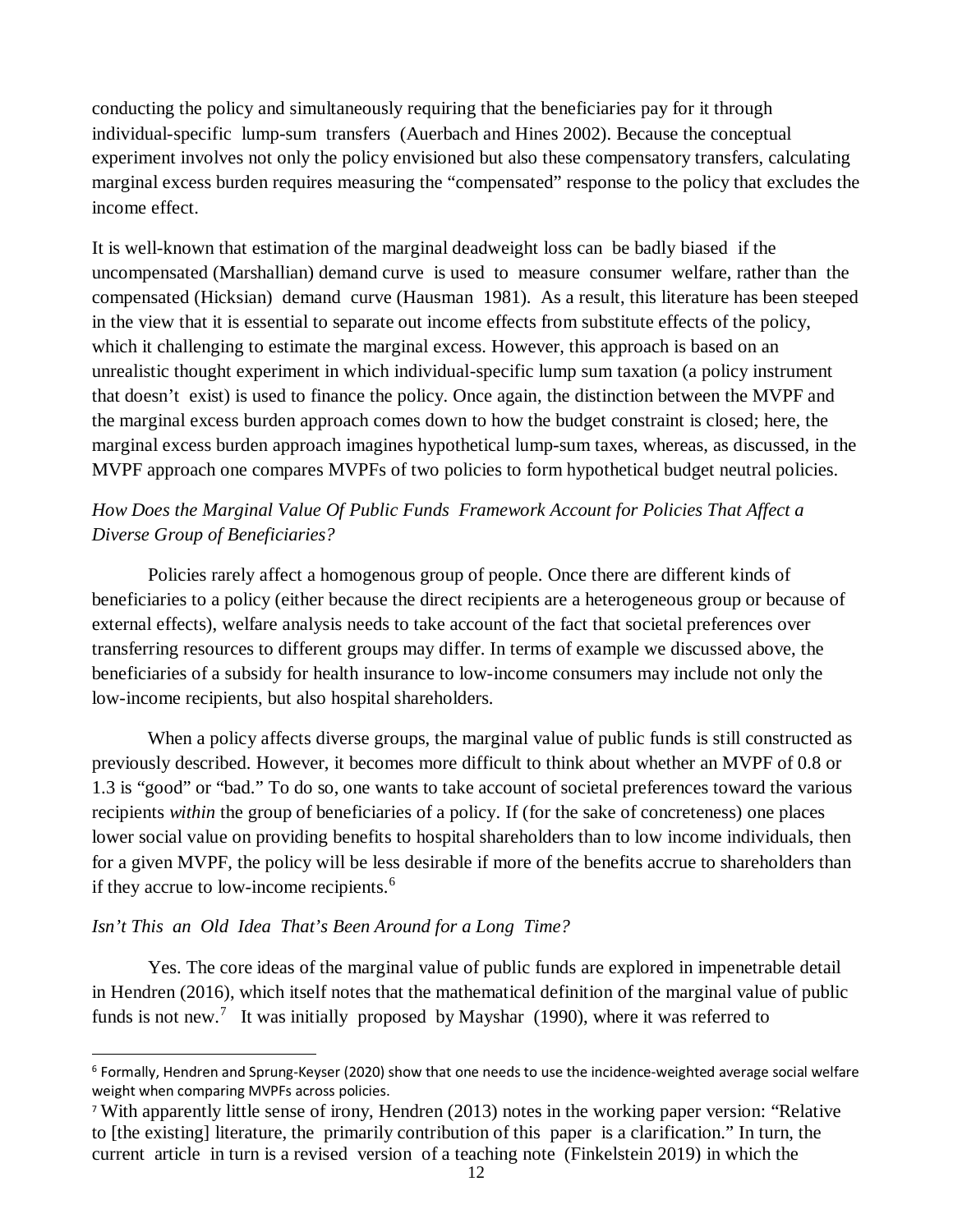conducting the policy and simultaneously requiring that the beneficiaries pay for it through individual-specific lump-sum transfers (Auerbach and Hines 2002). Because the conceptual experiment involves not only the policy envisioned but also these compensatory transfers, calculating marginal excess burden requires measuring the "compensated" response to the policy that excludes the income effect.

It is well-known that estimation of the marginal deadweight loss can be badly biased if the uncompensated (Marshallian) demand curve is used to measure consumer welfare, rather than the compensated (Hicksian) demand curve (Hausman 1981). As a result, this literature has been steeped in the view that it is essential to separate out income effects from substitute effects of the policy, which it challenging to estimate the marginal excess. However, this approach is based on an unrealistic thought experiment in which individual-specific lump sum taxation (a policy instrument that doesn't exist) is used to finance the policy. Once again, the distinction between the MVPF and the marginal excess burden approach comes down to how the budget constraint is closed; here, the marginal excess burden approach imagines hypothetical lump-sum taxes, whereas, as discussed, in the MVPF approach one compares MVPFs of two policies to form hypothetical budget neutral policies.

# *How Does the Marginal Value Of Public Funds Framework Account for Policies That Affect a Diverse Group of Beneficiaries?*

Policies rarely affect a homogenous group of people. Once there are different kinds of beneficiaries to a policy (either because the direct recipients are a heterogeneous group or because of external effects), welfare analysis needs to take account of the fact that societal preferences over transferring resources to different groups may differ. In terms of example we discussed above, the beneficiaries of a subsidy for health insurance to low-income consumers may include not only the low-income recipients, but also hospital shareholders.

When a policy affects diverse groups, the marginal value of public funds is still constructed as previously described. However, it becomes more difficult to think about whether an MVPF of 0.8 or 1.3 is "good" or "bad." To do so, one wants to take account of societal preferences toward the various recipients *within* the group of beneficiaries of a policy. If (for the sake of concreteness) one places lower social value on providing benefits to hospital shareholders than to low income individuals, then for a given MVPF, the policy will be less desirable if more of the benefits accrue to shareholders than if they accrue to low-income recipients.<sup>[6](#page-12-0)</sup>

## *Isn't This an Old Idea That's Been Around for a Long Time?*

 $\overline{a}$ 

Yes. The core ideas of the marginal value of public funds are explored in impenetrable detail in Hendren (2016), which itself notes that the mathematical definition of the marginal value of public funds is not new.<sup>[7](#page-12-1)</sup> It was initially proposed by Mayshar (1990), where it was referred to

<span id="page-12-0"></span> $6$  Formally, Hendren and Sprung-Keyser (2020) show that one needs to use the incidence-weighted average social welfare weight when comparing MVPFs across policies.

<span id="page-12-1"></span><sup>7</sup> With apparently little sense of irony, Hendren (2013) notes in the working paper version: "Relative to [the existing] literature, the primarily contribution of this paper is a clarification." In turn, the current article in turn is a revised version of a teaching note (Finkelstein 2019) in which the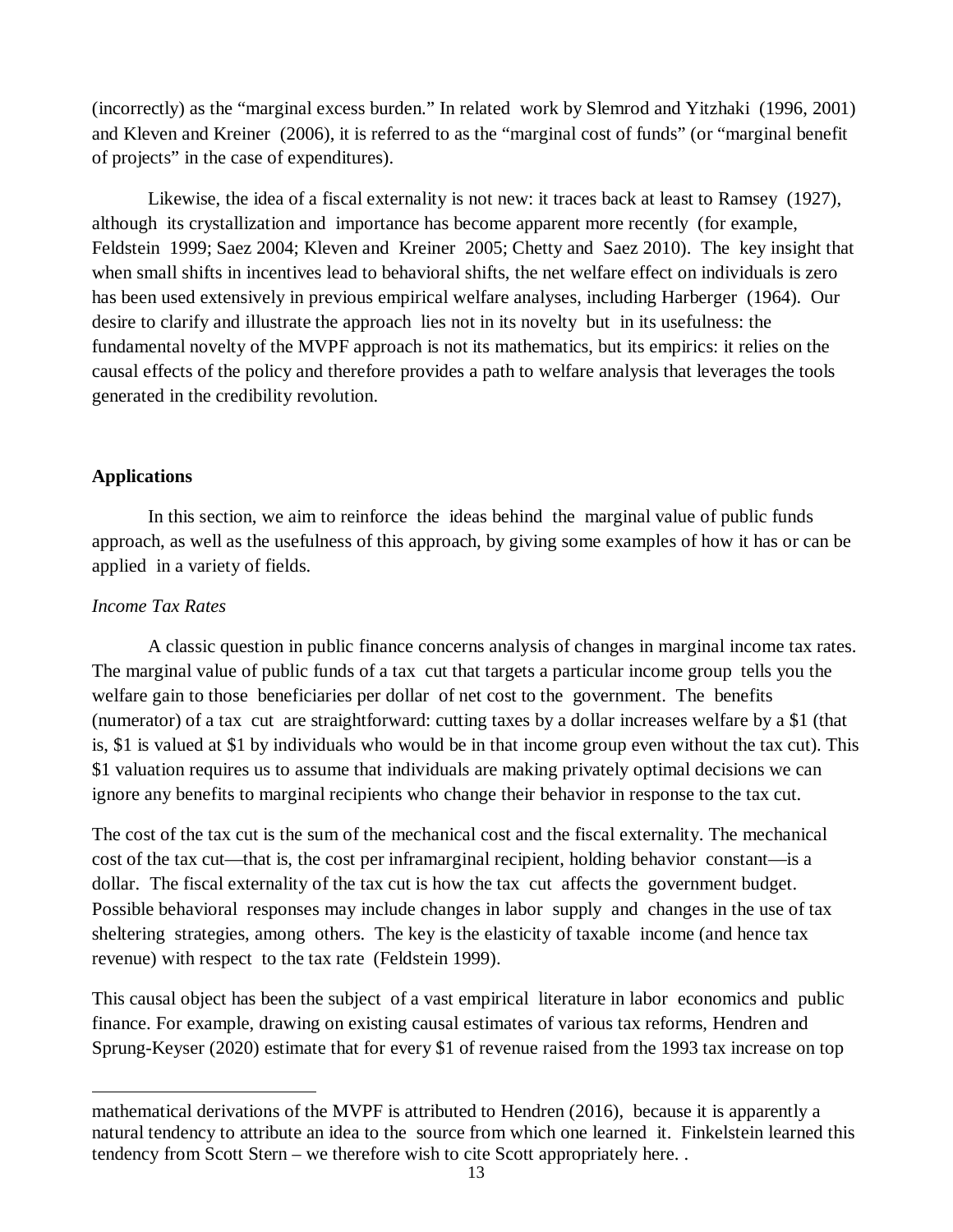(incorrectly) as the "marginal excess burden." In related work by Slemrod and Yitzhaki (1996, 2001) and Kleven and Kreiner (2006), it is referred to as the "marginal cost of funds" (or "marginal benefit of projects" in the case of expenditures).

Likewise, the idea of a fiscal externality is not new: it traces back at least to Ramsey (1927), although its crystallization and importance has become apparent more recently (for example, Feldstein 1999; Saez 2004; Kleven and Kreiner 2005; Chetty and Saez 2010). The key insight that when small shifts in incentives lead to behavioral shifts, the net welfare effect on individuals is zero has been used extensively in previous empirical welfare analyses, including Harberger (1964). Our desire to clarify and illustrate the approach lies not in its novelty but in its usefulness: the fundamental novelty of the MVPF approach is not its mathematics, but its empirics: it relies on the causal effects of the policy and therefore provides a path to welfare analysis that leverages the tools generated in the credibility revolution.

## **Applications**

In this section, we aim to reinforce the ideas behind the marginal value of public funds approach, as well as the usefulness of this approach, by giving some examples of how it has or can be applied in a variety of fields.

### *Income Tax Rates*

 $\overline{a}$ 

A classic question in public finance concerns analysis of changes in marginal income tax rates. The marginal value of public funds of a tax cut that targets a particular income group tells you the welfare gain to those beneficiaries per dollar of net cost to the government. The benefits (numerator) of a tax cut are straightforward: cutting taxes by a dollar increases welfare by a \$1 (that is, \$1 is valued at \$1 by individuals who would be in that income group even without the tax cut). This \$1 valuation requires us to assume that individuals are making privately optimal decisions we can ignore any benefits to marginal recipients who change their behavior in response to the tax cut.

The cost of the tax cut is the sum of the mechanical cost and the fiscal externality. The mechanical cost of the tax cut—that is, the cost per inframarginal recipient, holding behavior constant—is a dollar. The fiscal externality of the tax cut is how the tax cut affects the government budget. Possible behavioral responses may include changes in labor supply and changes in the use of tax sheltering strategies, among others. The key is the elasticity of taxable income (and hence tax revenue) with respect to the tax rate (Feldstein 1999).

This causal object has been the subject of a vast empirical literature in labor economics and public finance. For example, drawing on existing causal estimates of various tax reforms, Hendren and Sprung-Keyser (2020) estimate that for every \$1 of revenue raised from the 1993 tax increase on top

mathematical derivations of the MVPF is attributed to Hendren (2016), because it is apparently a natural tendency to attribute an idea to the source from which one learned it. Finkelstein learned this tendency from Scott Stern – we therefore wish to cite Scott appropriately here. .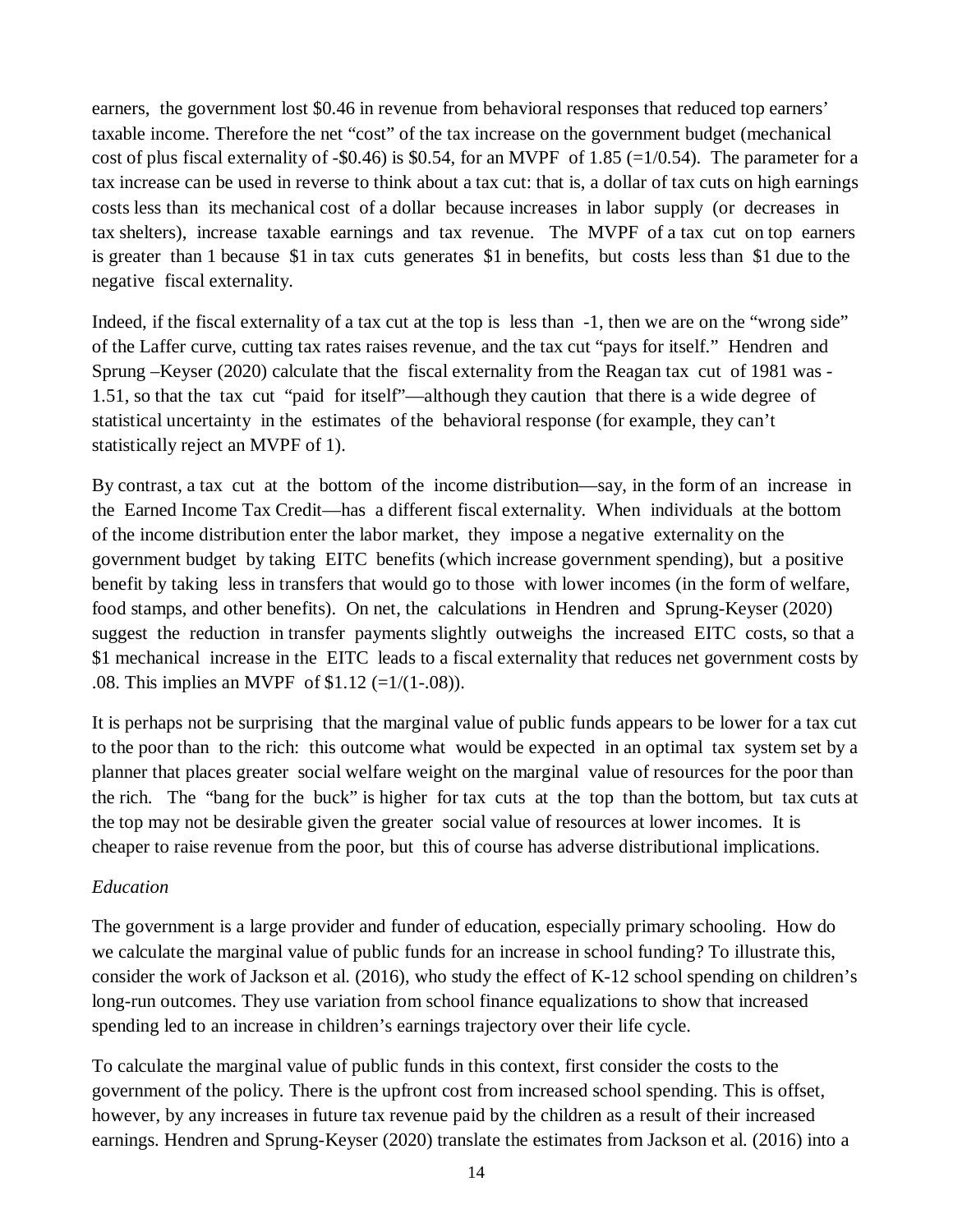earners, the government lost \$0.46 in revenue from behavioral responses that reduced top earners' taxable income. Therefore the net "cost" of the tax increase on the government budget (mechanical cost of plus fiscal externality of -\$0.46) is \$0.54, for an MVPF of 1.85 (=1/0.54). The parameter for a tax increase can be used in reverse to think about a tax cut: that is, a dollar of tax cuts on high earnings costs less than its mechanical cost of a dollar because increases in labor supply (or decreases in tax shelters), increase taxable earnings and tax revenue. The MVPF of a tax cut on top earners is greater than 1 because \$1 in tax cuts generates \$1 in benefits, but costs less than \$1 due to the negative fiscal externality.

Indeed, if the fiscal externality of a tax cut at the top is less than -1, then we are on the "wrong side" of the Laffer curve, cutting tax rates raises revenue, and the tax cut "pays for itself." Hendren and Sprung –Keyser (2020) calculate that the fiscal externality from the Reagan tax cut of 1981 was - 1.51, so that the tax cut "paid for itself"—although they caution that there is a wide degree of statistical uncertainty in the estimates of the behavioral response (for example, they can't statistically reject an MVPF of 1).

By contrast, a tax cut at the bottom of the income distribution—say, in the form of an increase in the Earned Income Tax Credit—has a different fiscal externality. When individuals at the bottom of the income distribution enter the labor market, they impose a negative externality on the government budget by taking EITC benefits (which increase government spending), but a positive benefit by taking less in transfers that would go to those with lower incomes (in the form of welfare, food stamps, and other benefits). On net, the calculations in Hendren and Sprung-Keyser (2020) suggest the reduction in transfer payments slightly outweighs the increased EITC costs, so that a \$1 mechanical increase in the EITC leads to a fiscal externality that reduces net government costs by .08. This implies an MVPF of  $$1.12$  (=1/(1-.08)).

It is perhaps not be surprising that the marginal value of public funds appears to be lower for a tax cut to the poor than to the rich: this outcome what would be expected in an optimal tax system set by a planner that places greater social welfare weight on the marginal value of resources for the poor than the rich. The "bang for the buck" is higher for tax cuts at the top than the bottom, but tax cuts at the top may not be desirable given the greater social value of resources at lower incomes. It is cheaper to raise revenue from the poor, but this of course has adverse distributional implications.

### *Education*

The government is a large provider and funder of education, especially primary schooling. How do we calculate the marginal value of public funds for an increase in school funding? To illustrate this, consider the work of Jackson et al. (2016), who study the effect of K-12 school spending on children's long-run outcomes. They use variation from school finance equalizations to show that increased spending led to an increase in children's earnings trajectory over their life cycle.

To calculate the marginal value of public funds in this context, first consider the costs to the government of the policy. There is the upfront cost from increased school spending. This is offset, however, by any increases in future tax revenue paid by the children as a result of their increased earnings. Hendren and Sprung-Keyser (2020) translate the estimates from Jackson et al. (2016) into a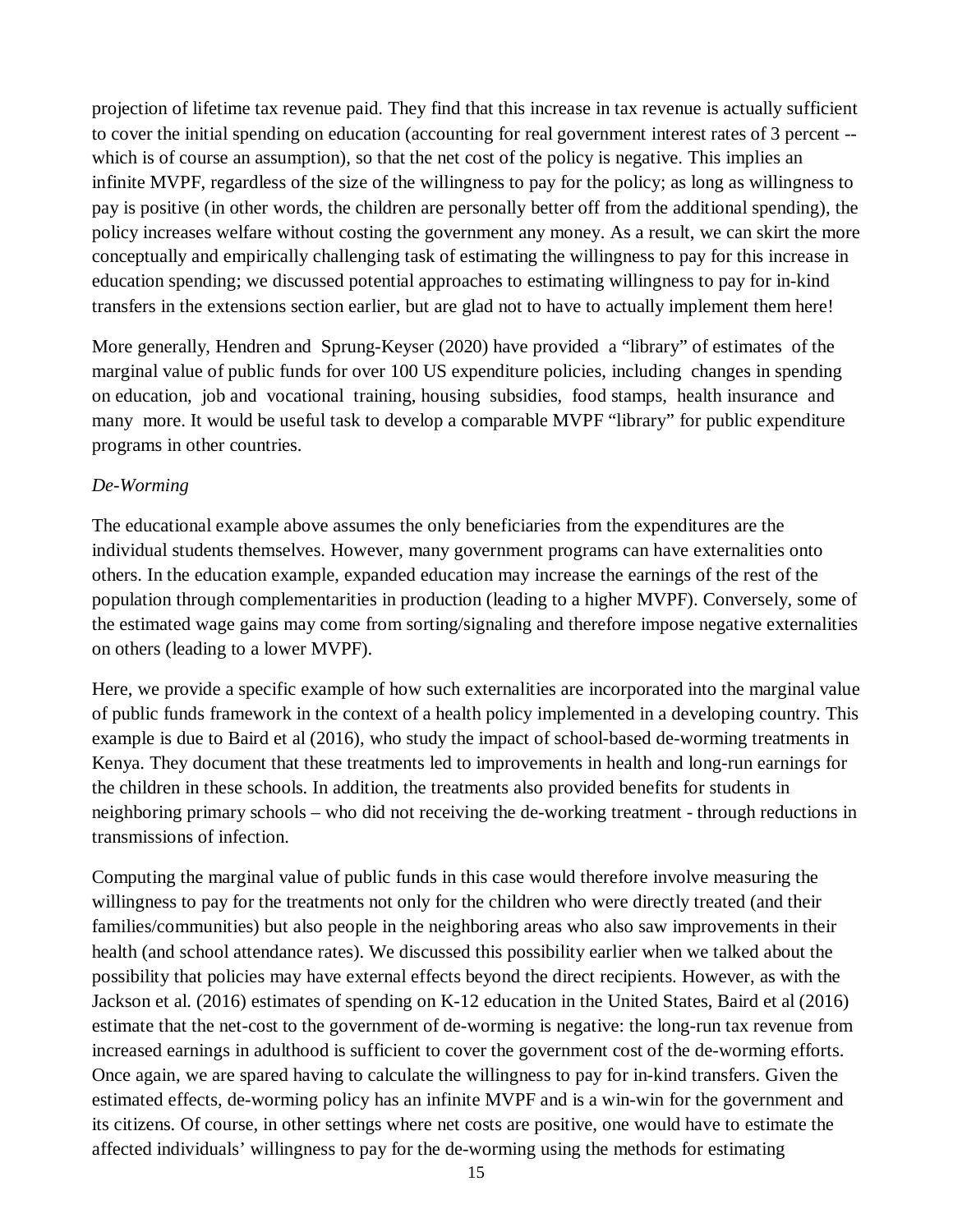projection of lifetime tax revenue paid. They find that this increase in tax revenue is actually sufficient to cover the initial spending on education (accounting for real government interest rates of 3 percent - which is of course an assumption), so that the net cost of the policy is negative. This implies an infinite MVPF, regardless of the size of the willingness to pay for the policy; as long as willingness to pay is positive (in other words, the children are personally better off from the additional spending), the policy increases welfare without costing the government any money. As a result, we can skirt the more conceptually and empirically challenging task of estimating the willingness to pay for this increase in education spending; we discussed potential approaches to estimating willingness to pay for in-kind transfers in the extensions section earlier, but are glad not to have to actually implement them here!

More generally, Hendren and Sprung-Keyser (2020) have provided a "library" of estimates of the marginal value of public funds for over 100 US expenditure policies, including changes in spending on education, job and vocational training, housing subsidies, food stamps, health insurance and many more. It would be useful task to develop a comparable MVPF "library" for public expenditure programs in other countries.

## *De-Worming*

The educational example above assumes the only beneficiaries from the expenditures are the individual students themselves. However, many government programs can have externalities onto others. In the education example, expanded education may increase the earnings of the rest of the population through complementarities in production (leading to a higher MVPF). Conversely, some of the estimated wage gains may come from sorting/signaling and therefore impose negative externalities on others (leading to a lower MVPF).

Here, we provide a specific example of how such externalities are incorporated into the marginal value of public funds framework in the context of a health policy implemented in a developing country. This example is due to Baird et al (2016), who study the impact of school-based de-worming treatments in Kenya. They document that these treatments led to improvements in health and long-run earnings for the children in these schools. In addition, the treatments also provided benefits for students in neighboring primary schools – who did not receiving the de-working treatment - through reductions in transmissions of infection.

Computing the marginal value of public funds in this case would therefore involve measuring the willingness to pay for the treatments not only for the children who were directly treated (and their families/communities) but also people in the neighboring areas who also saw improvements in their health (and school attendance rates). We discussed this possibility earlier when we talked about the possibility that policies may have external effects beyond the direct recipients. However, as with the Jackson et al. (2016) estimates of spending on K-12 education in the United States, Baird et al (2016) estimate that the net-cost to the government of de-worming is negative: the long-run tax revenue from increased earnings in adulthood is sufficient to cover the government cost of the de-worming efforts. Once again, we are spared having to calculate the willingness to pay for in-kind transfers. Given the estimated effects, de-worming policy has an infinite MVPF and is a win-win for the government and its citizens. Of course, in other settings where net costs are positive, one would have to estimate the affected individuals' willingness to pay for the de-worming using the methods for estimating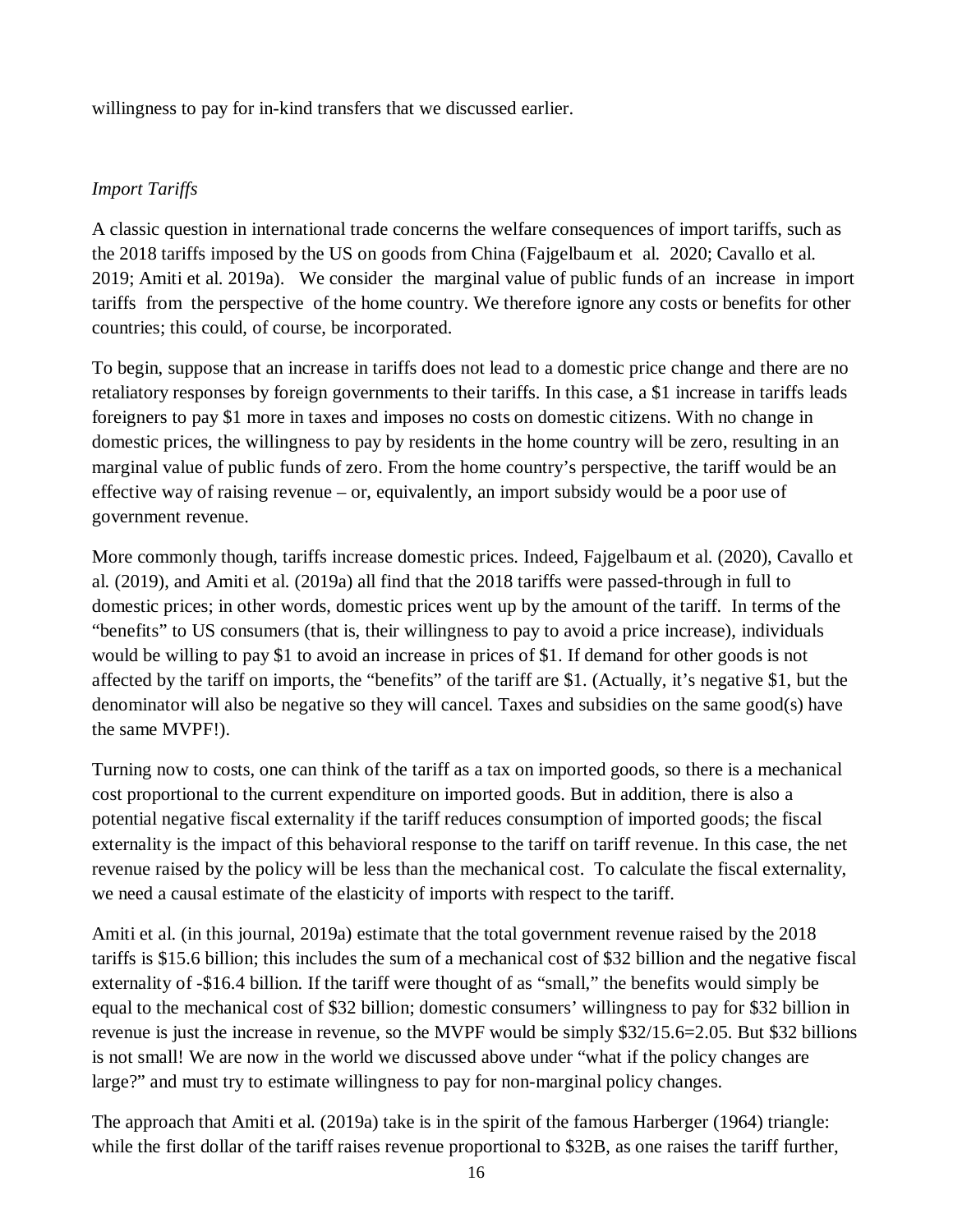willingness to pay for in-kind transfers that we discussed earlier.

## *Import Tariffs*

A classic question in international trade concerns the welfare consequences of import tariffs, such as the 2018 tariffs imposed by the US on goods from China (Fajgelbaum et al. 2020; Cavallo et al. 2019; Amiti et al. 2019a). We consider the marginal value of public funds of an increase in import tariffs from the perspective of the home country. We therefore ignore any costs or benefits for other countries; this could, of course, be incorporated.

To begin, suppose that an increase in tariffs does not lead to a domestic price change and there are no retaliatory responses by foreign governments to their tariffs. In this case, a \$1 increase in tariffs leads foreigners to pay \$1 more in taxes and imposes no costs on domestic citizens. With no change in domestic prices, the willingness to pay by residents in the home country will be zero, resulting in an marginal value of public funds of zero. From the home country's perspective, the tariff would be an effective way of raising revenue – or, equivalently, an import subsidy would be a poor use of government revenue.

More commonly though, tariffs increase domestic prices. Indeed, Fajgelbaum et al. (2020), Cavallo et al. (2019), and Amiti et al. (2019a) all find that the 2018 tariffs were passed-through in full to domestic prices; in other words, domestic prices went up by the amount of the tariff. In terms of the "benefits" to US consumers (that is, their willingness to pay to avoid a price increase), individuals would be willing to pay \$1 to avoid an increase in prices of \$1. If demand for other goods is not affected by the tariff on imports, the "benefits" of the tariff are \$1. (Actually, it's negative \$1, but the denominator will also be negative so they will cancel. Taxes and subsidies on the same good(s) have the same MVPF!).

Turning now to costs, one can think of the tariff as a tax on imported goods, so there is a mechanical cost proportional to the current expenditure on imported goods. But in addition, there is also a potential negative fiscal externality if the tariff reduces consumption of imported goods; the fiscal externality is the impact of this behavioral response to the tariff on tariff revenue. In this case, the net revenue raised by the policy will be less than the mechanical cost. To calculate the fiscal externality, we need a causal estimate of the elasticity of imports with respect to the tariff.

Amiti et al. (in this journal, 2019a) estimate that the total government revenue raised by the 2018 tariffs is \$15.6 billion; this includes the sum of a mechanical cost of \$32 billion and the negative fiscal externality of -\$16.4 billion. If the tariff were thought of as "small," the benefits would simply be equal to the mechanical cost of \$32 billion; domestic consumers' willingness to pay for \$32 billion in revenue is just the increase in revenue, so the MVPF would be simply \$32/15.6=2.05. But \$32 billions is not small! We are now in the world we discussed above under "what if the policy changes are large?" and must try to estimate willingness to pay for non-marginal policy changes.

The approach that Amiti et al. (2019a) take is in the spirit of the famous Harberger (1964) triangle: while the first dollar of the tariff raises revenue proportional to \$32B, as one raises the tariff further,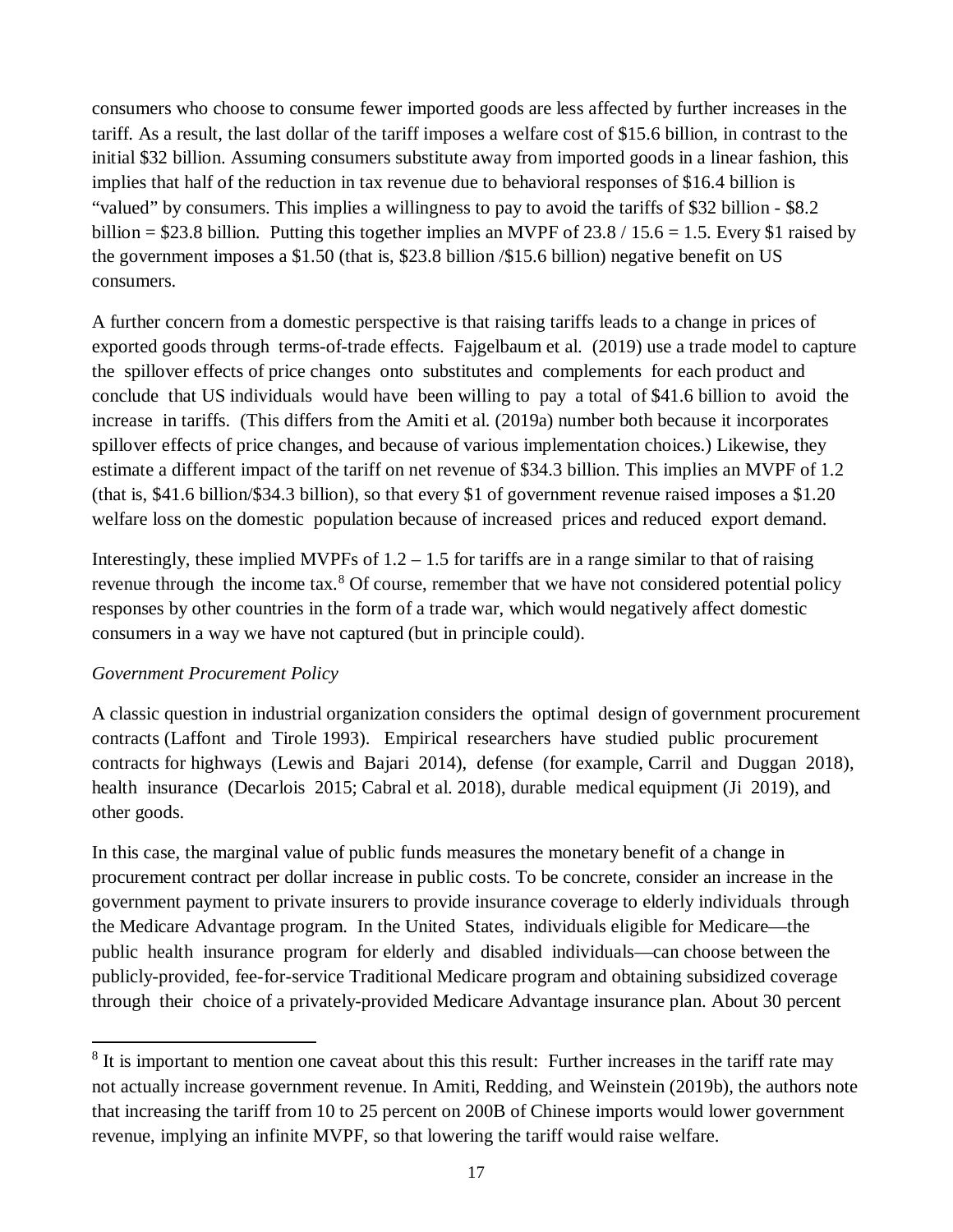consumers who choose to consume fewer imported goods are less affected by further increases in the tariff. As a result, the last dollar of the tariff imposes a welfare cost of \$15.6 billion, in contrast to the initial \$32 billion. Assuming consumers substitute away from imported goods in a linear fashion, this implies that half of the reduction in tax revenue due to behavioral responses of \$16.4 billion is "valued" by consumers. This implies a willingness to pay to avoid the tariffs of \$32 billion - \$8.2 billion =  $$23.8$  billion. Putting this together implies an MVPF of  $23.8 / 15.6 = 1.5$ . Every \$1 raised by the government imposes a \$1.50 (that is, \$23.8 billion /\$15.6 billion) negative benefit on US consumers.

A further concern from a domestic perspective is that raising tariffs leads to a change in prices of exported goods through terms-of-trade effects. Fajgelbaum et al. (2019) use a trade model to capture the spillover effects of price changes onto substitutes and complements for each product and conclude that US individuals would have been willing to pay a total of \$41.6 billion to avoid the increase in tariffs. (This differs from the Amiti et al. (2019a) number both because it incorporates spillover effects of price changes, and because of various implementation choices.) Likewise, they estimate a different impact of the tariff on net revenue of \$34.3 billion. This implies an MVPF of 1.2 (that is, \$41.6 billion/\$34.3 billion), so that every \$1 of government revenue raised imposes a \$1.20 welfare loss on the domestic population because of increased prices and reduced export demand.

Interestingly, these implied MVPFs of  $1.2 - 1.5$  for tariffs are in a range similar to that of raising revenue through the income tax.<sup>[8](#page-17-0)</sup> Of course, remember that we have not considered potential policy responses by other countries in the form of a trade war, which would negatively affect domestic consumers in a way we have not captured (but in principle could).

## *Government Procurement Policy*

 $\overline{a}$ 

A classic question in industrial organization considers the optimal design of government procurement contracts (Laffont and Tirole 1993). Empirical researchers have studied public procurement contracts for highways (Lewis and Bajari 2014), defense (for example, Carril and Duggan 2018), health insurance (Decarlois 2015; Cabral et al. 2018), durable medical equipment (Ji 2019), and other goods.

In this case, the marginal value of public funds measures the monetary benefit of a change in procurement contract per dollar increase in public costs. To be concrete, consider an increase in the government payment to private insurers to provide insurance coverage to elderly individuals through the Medicare Advantage program. In the United States, individuals eligible for Medicare—the public health insurance program for elderly and disabled individuals—can choose between the publicly-provided, fee-for-service Traditional Medicare program and obtaining subsidized coverage through their choice of a privately-provided Medicare Advantage insurance plan. About 30 percent

<span id="page-17-0"></span><sup>&</sup>lt;sup>8</sup> It is important to mention one caveat about this this result: Further increases in the tariff rate may not actually increase government revenue. In Amiti, Redding, and Weinstein (2019b), the authors note that increasing the tariff from 10 to 25 percent on 200B of Chinese imports would lower government revenue, implying an infinite MVPF, so that lowering the tariff would raise welfare.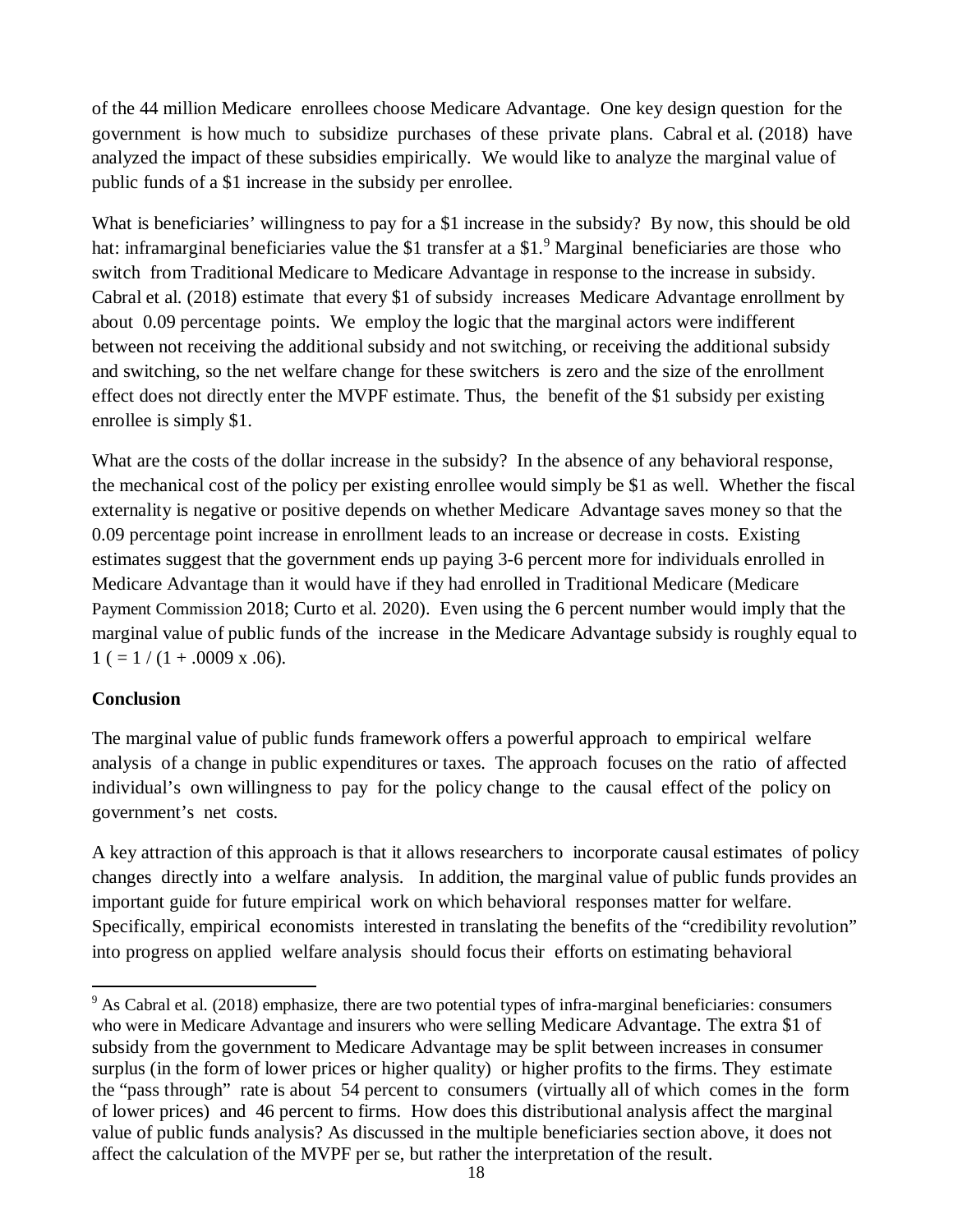of the 44 million Medicare enrollees choose Medicare Advantage. One key design question for the government is how much to subsidize purchases of these private plans. Cabral et al. (2018) have analyzed the impact of these subsidies empirically. We would like to analyze the marginal value of public funds of a \$1 increase in the subsidy per enrollee.

What is beneficiaries' willingness to pay for a \$1 increase in the subsidy? By now, this should be old hat: inframarginal beneficiaries value the \$1 transfer at a \$1.<sup>[9](#page-18-0)</sup> Marginal beneficiaries are those who switch from Traditional Medicare to Medicare Advantage in response to the increase in subsidy. Cabral et al. (2018) estimate that every \$1 of subsidy increases Medicare Advantage enrollment by about 0.09 percentage points. We employ the logic that the marginal actors were indifferent between not receiving the additional subsidy and not switching, or receiving the additional subsidy and switching, so the net welfare change for these switchers is zero and the size of the enrollment effect does not directly enter the MVPF estimate. Thus, the benefit of the \$1 subsidy per existing enrollee is simply \$1.

What are the costs of the dollar increase in the subsidy? In the absence of any behavioral response, the mechanical cost of the policy per existing enrollee would simply be \$1 as well. Whether the fiscal externality is negative or positive depends on whether Medicare Advantage saves money so that the 0.09 percentage point increase in enrollment leads to an increase or decrease in costs. Existing estimates suggest that the government ends up paying 3-6 percent more for individuals enrolled in Medicare Advantage than it would have if they had enrolled in Traditional Medicare (Medicare Payment Commission 2018; Curto et al. 2020). Even using the 6 percent number would imply that the marginal value of public funds of the increase in the Medicare Advantage subsidy is roughly equal to  $1 (= 1/(1+.0009 \text{ x } .06).$ 

## **Conclusion**

 $\overline{a}$ 

The marginal value of public funds framework offers a powerful approach to empirical welfare analysis of a change in public expenditures or taxes. The approach focuses on the ratio of affected individual's own willingness to pay for the policy change to the causal effect of the policy on government's net costs.

A key attraction of this approach is that it allows researchers to incorporate causal estimates of policy changes directly into a welfare analysis. In addition, the marginal value of public funds provides an important guide for future empirical work on which behavioral responses matter for welfare. Specifically, empirical economists interested in translating the benefits of the "credibility revolution" into progress on applied welfare analysis should focus their efforts on estimating behavioral

<span id="page-18-0"></span><sup>&</sup>lt;sup>9</sup> As Cabral et al. (2018) emphasize, there are two potential types of infra-marginal beneficiaries: consumers who were in Medicare Advantage and insurers who were selling Medicare Advantage. The extra \$1 of subsidy from the government to Medicare Advantage may be split between increases in consumer surplus (in the form of lower prices or higher quality) or higher profits to the firms. They estimate the "pass through" rate is about 54 percent to consumers (virtually all of which comes in the form of lower prices) and 46 percent to firms. How does this distributional analysis affect the marginal value of public funds analysis? As discussed in the multiple beneficiaries section above, it does not affect the calculation of the MVPF per se, but rather the interpretation of the result.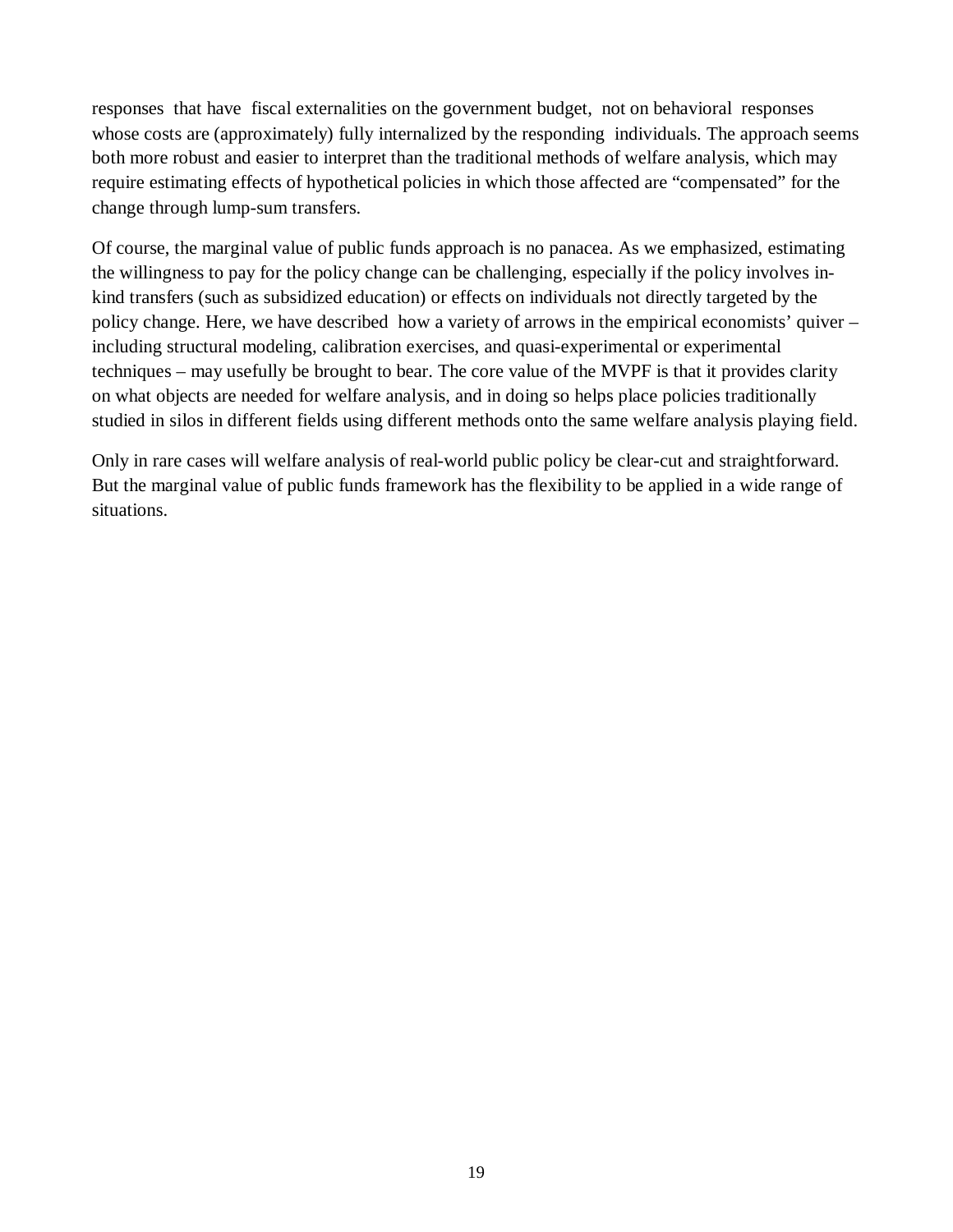responses that have fiscal externalities on the government budget, not on behavioral responses whose costs are (approximately) fully internalized by the responding individuals. The approach seems both more robust and easier to interpret than the traditional methods of welfare analysis, which may require estimating effects of hypothetical policies in which those affected are "compensated" for the change through lump-sum transfers.

Of course, the marginal value of public funds approach is no panacea. As we emphasized, estimating the willingness to pay for the policy change can be challenging, especially if the policy involves inkind transfers (such as subsidized education) or effects on individuals not directly targeted by the policy change. Here, we have described how a variety of arrows in the empirical economists' quiver – including structural modeling, calibration exercises, and quasi-experimental or experimental techniques – may usefully be brought to bear. The core value of the MVPF is that it provides clarity on what objects are needed for welfare analysis, and in doing so helps place policies traditionally studied in silos in different fields using different methods onto the same welfare analysis playing field.

Only in rare cases will welfare analysis of real-world public policy be clear-cut and straightforward. But the marginal value of public funds framework has the flexibility to be applied in a wide range of situations.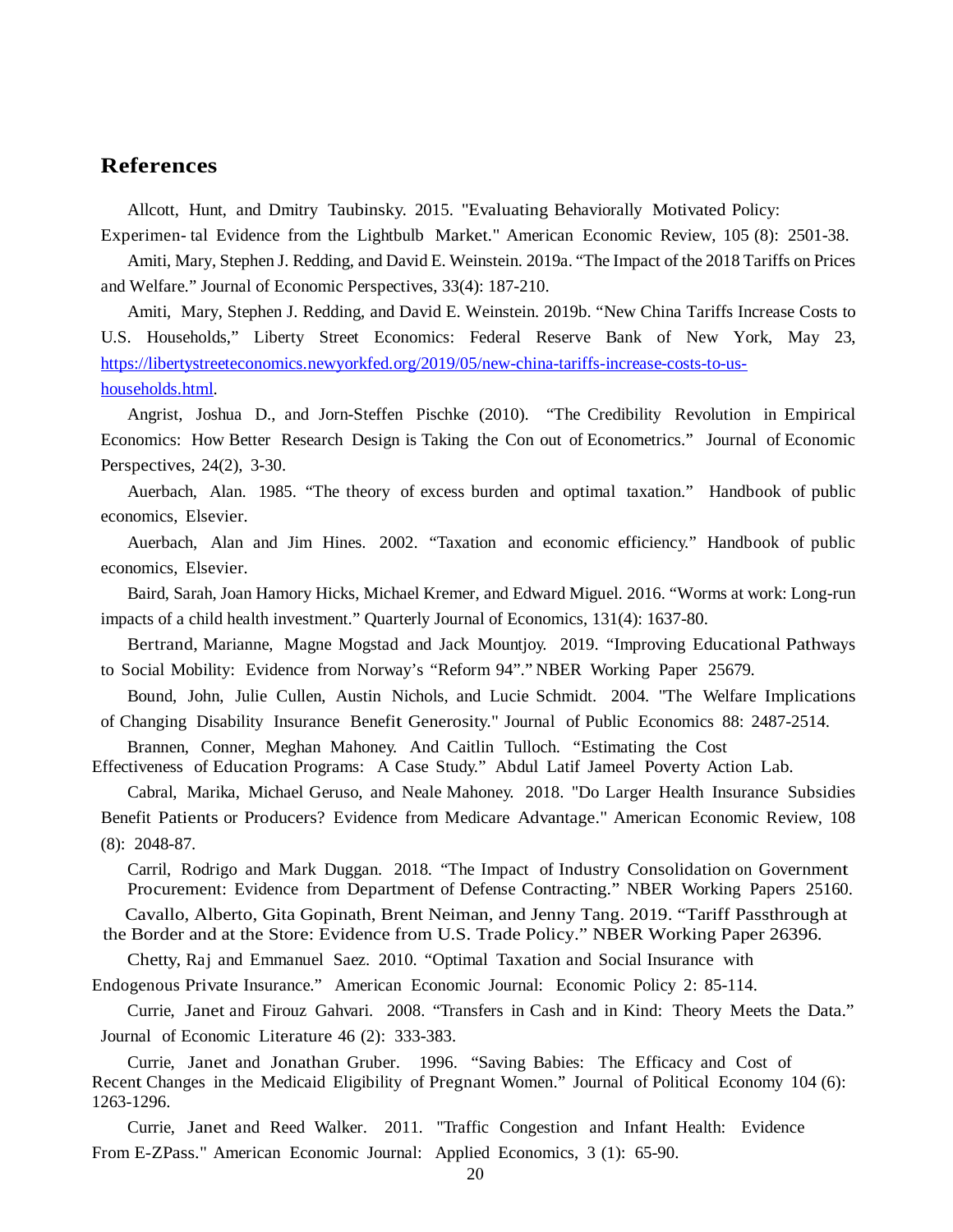## **References**

Allcott, Hunt, and Dmitry Taubinsky. 2015. "Evaluating Behaviorally Motivated Policy: Experimen- tal Evidence from the Lightbulb Market." American Economic Review, 105 (8): 2501-38.

Amiti, Mary, Stephen J. Redding, and David E. Weinstein. 2019a. "The Impact of the 2018 Tariffs on Prices and Welfare." Journal of Economic Perspectives, 33(4): 187-210.

Amiti, Mary, Stephen J. Redding, and David E. Weinstein. 2019b. "New China Tariffs Increase Costs to U.S. Households," Liberty Street Economics: Federal Reserve Bank of New York, May 23, [https://libertystreeteconomics.newyorkfed.org/2019/05/new-china-tariffs-increase-costs-to-us](https://libertystreeteconomics.newyorkfed.org/2019/05/new-china-tariffs-increase-costs-to-us-households.html)[households.html.](https://libertystreeteconomics.newyorkfed.org/2019/05/new-china-tariffs-increase-costs-to-us-households.html)

Angrist, Joshua D., and Jorn-Steffen Pischke (2010). "The Credibility Revolution in Empirical Economics: How Better Research Design is Taking the Con out of Econometrics." Journal of Economic Perspectives, 24(2), 3-30.

Auerbach, Alan. 1985. "The theory of excess burden and optimal taxation." Handbook of public economics, Elsevier.

Auerbach, Alan and Jim Hines. 2002. "Taxation and economic efficiency." Handbook of public economics, Elsevier.

Baird, Sarah, Joan Hamory Hicks, Michael Kremer, and Edward Miguel. 2016. "Worms at work: Long-run impacts of a child health investment." Quarterly Journal of Economics, 131(4): 1637-80.

Bertrand, Marianne, Magne Mogstad and Jack Mountjoy. 2019. "Improving Educational Pathways to Social Mobility: Evidence from Norway's "Reform 94"." NBER Working Paper 25679.

Bound, John, Julie Cullen, Austin Nichols, and Lucie Schmidt. 2004. "The Welfare Implications of Changing Disability Insurance Benefit Generosity." Journal of Public Economics 88: 2487-2514.

Brannen, Conner, Meghan Mahoney. And Caitlin Tulloch. "Estimating the Cost Effectiveness of Education Programs: A Case Study." Abdul Latif Jameel Poverty Action Lab.

Cabral, Marika, Michael Geruso, and Neale Mahoney. 2018. "Do Larger Health Insurance Subsidies Benefit Patients or Producers? Evidence from Medicare Advantage." American Economic Review, 108 (8): 2048-87.

Carril, Rodrigo and Mark Duggan. 2018. "The Impact of Industry Consolidation on Government Procurement: Evidence from Department of Defense Contracting." NBER Working Papers 25160.

Cavallo, Alberto, Gita Gopinath, Brent Neiman, and Jenny Tang. 2019. "Tariff Passthrough at the Border and at the Store: Evidence from U.S. Trade Policy." NBER Working Paper 26396.

Chetty, Raj and Emmanuel Saez. 2010. "Optimal Taxation and Social Insurance with Endogenous Private Insurance." American Economic Journal: Economic Policy 2: 85-114.

Currie, Janet and Firouz Gahvari. 2008. "Transfers in Cash and in Kind: Theory Meets the Data." Journal of Economic Literature 46 (2): 333-383.

Currie, Janet and Jonathan Gruber. 1996. "Saving Babies: The Efficacy and Cost of Recent Changes in the Medicaid Eligibility of Pregnant Women." Journal of Political Economy 104 (6): 1263-1296.

Currie, Janet and Reed Walker. 2011. "Traffic Congestion and Infant Health: Evidence From E-ZPass." American Economic Journal: Applied Economics, 3 (1): 65-90.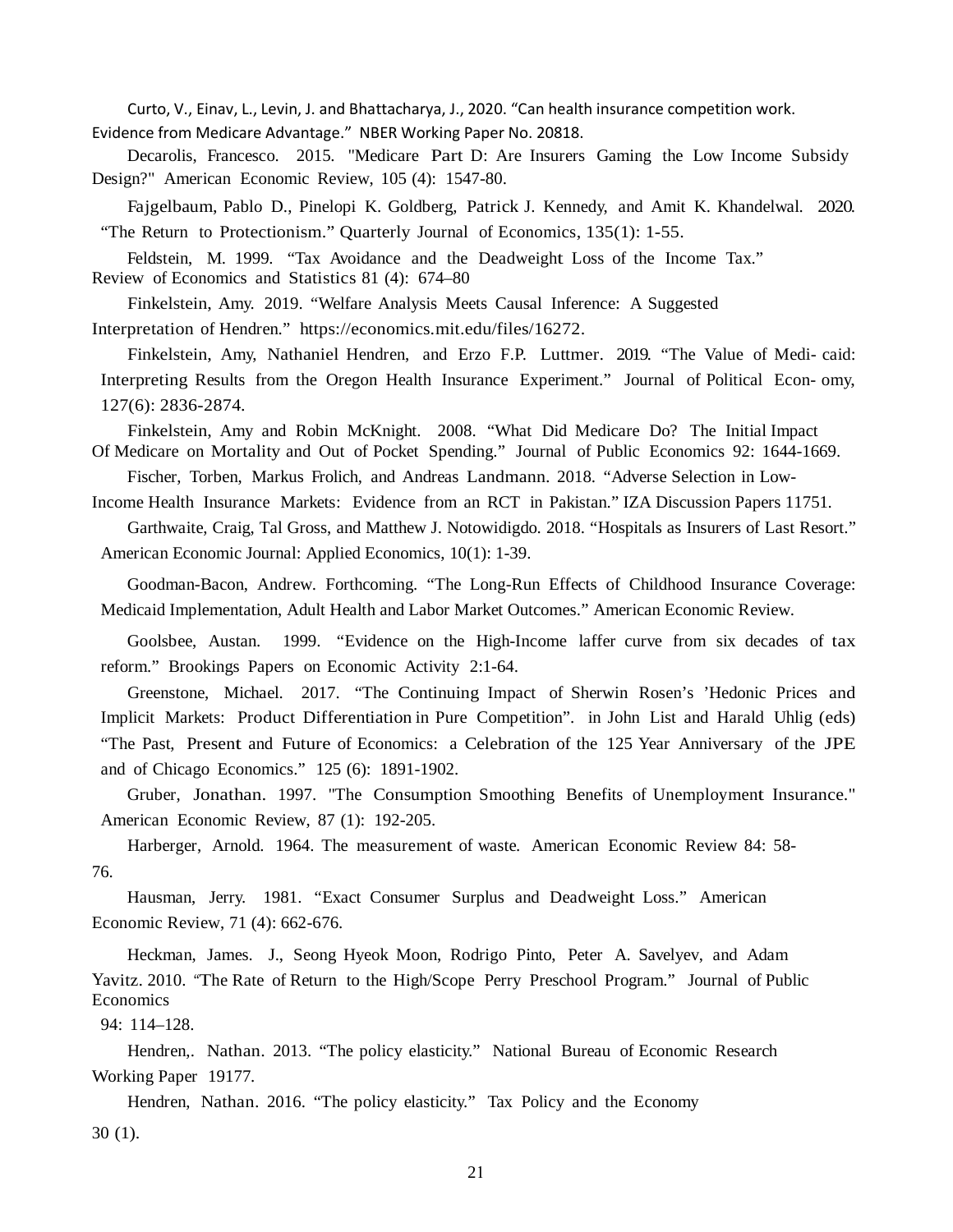Curto, V., Einav, L., Levin, J. and Bhattacharya, J., 2020. "Can health insurance competition work. Evidence from Medicare Advantage." NBER Working Paper No. 20818.

Decarolis, Francesco. 2015. "Medicare Part D: Are Insurers Gaming the Low Income Subsidy Design?" American Economic Review, 105 (4): 1547-80.

Fajgelbaum, Pablo D., Pinelopi K. Goldberg, Patrick J. Kennedy, and Amit K. Khandelwal. 2020. "The Return to Protectionism." Quarterly Journal of Economics, 135(1): 1-55.

Feldstein, M. 1999. "Tax Avoidance and the Deadweight Loss of the Income Tax." Review of Economics and Statistics 81 (4): 674–80

Finkelstein, Amy. 2019. "Welfare Analysis Meets Causal Inference: A Suggested Interpretation of Hendren." https://economics.mit.edu/files/16272.

Finkelstein, Amy, Nathaniel Hendren, and Erzo F.P. Luttmer. 2019. "The Value of Medi- caid: Interpreting Results from the Oregon Health Insurance Experiment." Journal of Political Econ- omy, 127(6): 2836-2874.

Finkelstein, Amy and Robin McKnight. 2008. "What Did Medicare Do? The Initial Impact Of Medicare on Mortality and Out of Pocket Spending." Journal of Public Economics 92: 1644-1669.

Fischer, Torben, Markus Frolich, and Andreas Landmann. 2018. "Adverse Selection in Low-

Income Health Insurance Markets: Evidence from an RCT in Pakistan." IZA Discussion Papers 11751.

Garthwaite, Craig, Tal Gross, and Matthew J. Notowidigdo. 2018. "Hospitals as Insurers of Last Resort." American Economic Journal: Applied Economics, 10(1): 1-39.

Goodman-Bacon, Andrew. Forthcoming. "The Long-Run Effects of Childhood Insurance Coverage: Medicaid Implementation, Adult Health and Labor Market Outcomes." American Economic Review.

Goolsbee, Austan. 1999. "Evidence on the High-Income laffer curve from six decades of tax reform." Brookings Papers on Economic Activity 2:1-64.

Greenstone, Michael. 2017. "The Continuing Impact of Sherwin Rosen's 'Hedonic Prices and Implicit Markets: Product Differentiation in Pure Competition". in John List and Harald Uhlig (eds) "The Past, Present and Future of Economics: a Celebration of the 125 Year Anniversary of the JPE and of Chicago Economics." 125 (6): 1891-1902.

Gruber, Jonathan. 1997. "The Consumption Smoothing Benefits of Unemployment Insurance." American Economic Review, 87 (1): 192-205.

Harberger, Arnold. 1964. The measurement of waste. American Economic Review 84: 58- 76.

Hausman, Jerry. 1981. "Exact Consumer Surplus and Deadweight Loss." American Economic Review, 71 (4): 662-676.

Heckman, James. J., Seong Hyeok Moon, Rodrigo Pinto, Peter A. Savelyev, and Adam Yavitz. 2010. "The Rate of Return to the High/Scope Perry Preschool Program." Journal of Public Economics

94: 114–128.

Hendren,. Nathan. 2013. "The policy elasticity." National Bureau of Economic Research Working Paper 19177.

Hendren, Nathan. 2016. "The policy elasticity." Tax Policy and the Economy

30 (1).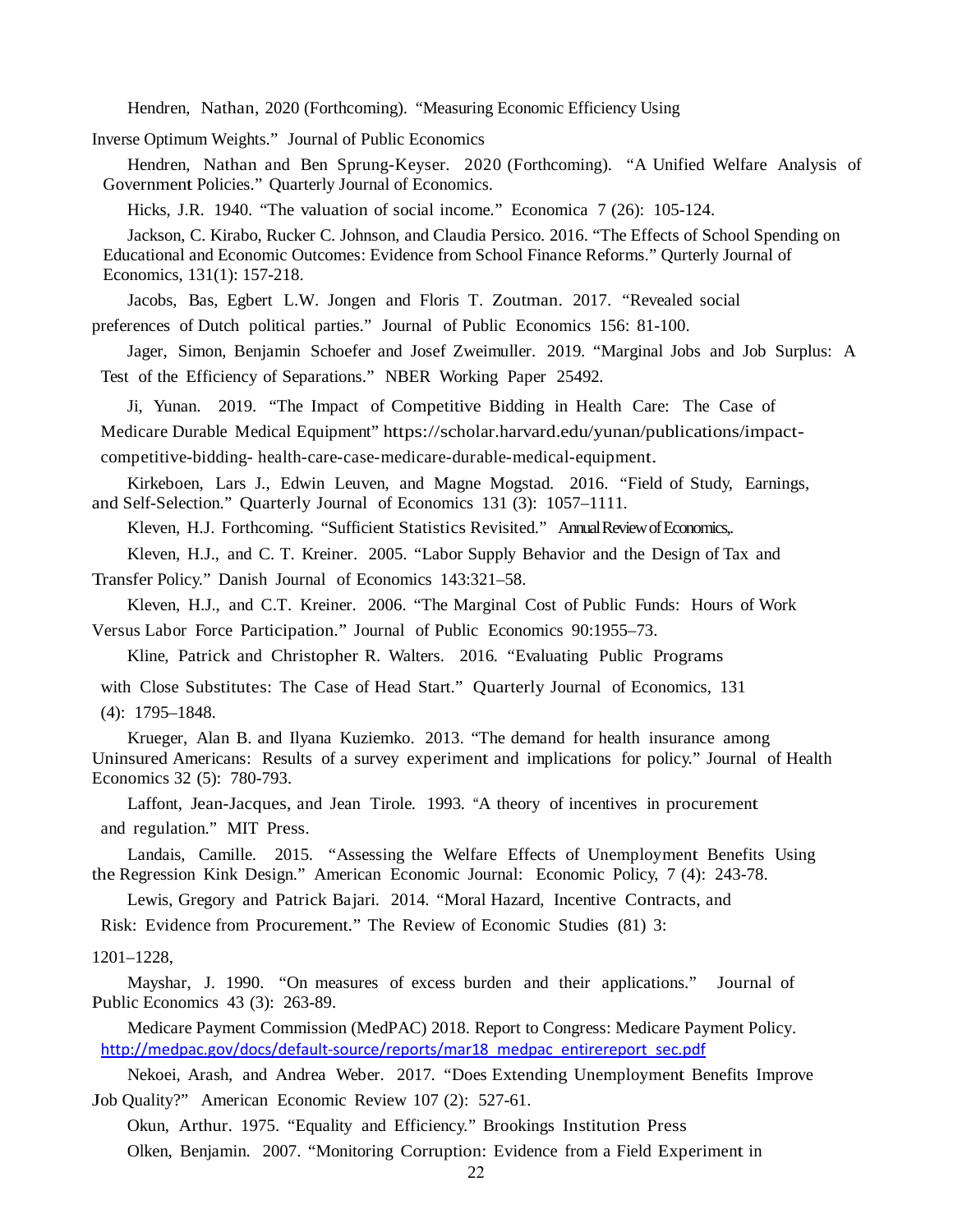Hendren, Nathan, 2020 (Forthcoming). "Measuring Economic Efficiency Using

Inverse Optimum Weights." Journal of Public Economics

Hendren, Nathan and Ben Sprung-Keyser. 2020 (Forthcoming). "A Unified Welfare Analysis of Government Policies." Quarterly Journal of Economics.

Hicks, J.R. 1940. "The valuation of social income." Economica 7 (26): 105-124.

Jackson, C. Kirabo, Rucker C. Johnson, and Claudia Persico. 2016. "The Effects of School Spending on Educational and Economic Outcomes: Evidence from School Finance Reforms." Qurterly Journal of Economics, 131(1): 157-218.

Jacobs, Bas, Egbert L.W. Jongen and Floris T. Zoutman. 2017. "Revealed social preferences of Dutch political parties." Journal of Public Economics 156: 81-100.

Jager, Simon, Benjamin Schoefer and Josef Zweimuller. 2019. "Marginal Jobs and Job Surplus: A Test of the Efficiency of Separations." NBER Working Paper 25492.

Ji, Yunan. 2019. "The Impact of Competitive Bidding in Health Care: The Case of Medicare Durable Medical Equipment" https://scholar.harvard.edu/yunan/publications/impactcompetitive-bidding- health-care-case-medicare-durable-medical-equipment.

Kirkeboen, Lars J., Edwin Leuven, and Magne Mogstad. 2016. "Field of Study, Earnings, and Self-Selection." Quarterly Journal of Economics 131 (3): 1057–1111.

Kleven, H.J. Forthcoming. "Sufficient Statistics Revisited." Annual Review of Economics,.

Kleven, H.J., and C. T. Kreiner. 2005. "Labor Supply Behavior and the Design of Tax and Transfer Policy." Danish Journal of Economics 143:321–58.

Kleven, H.J., and C.T. Kreiner. 2006. "The Marginal Cost of Public Funds: Hours of Work Versus Labor Force Participation." Journal of Public Economics 90:1955–73.

Kline, Patrick and Christopher R. Walters. 2016. "Evaluating Public Programs

with Close Substitutes: The Case of Head Start." Quarterly Journal of Economics, 131 (4): 1795–1848.

Krueger, Alan B. and Ilyana Kuziemko. 2013. "The demand for health insurance among Uninsured Americans: Results of a survey experiment and implications for policy." Journal of Health Economics 32 (5): 780-793.

Laffont, Jean-Jacques, and Jean Tirole. 1993. "A theory of incentives in procurement and regulation." MIT Press.

Landais, Camille. 2015. "Assessing the Welfare Effects of Unemployment Benefits Using the Regression Kink Design." American Economic Journal: Economic Policy, 7 (4): 243-78.

Lewis, Gregory and Patrick Bajari. 2014. "Moral Hazard, Incentive Contracts, and

Risk: Evidence from Procurement." The Review of Economic Studies (81) 3:

#### 1201–1228,

Mayshar, J. 1990. "On measures of excess burden and their applications." Journal of Public Economics 43 (3): 263-89.

Medicare Payment Commission (MedPAC) 2018. Report to Congress: Medicare Payment Policy. [http://medpac.gov/docs/default-source/reports/mar18\\_medpac\\_entirereport\\_sec.pdf](http://medpac.gov/docs/default-source/reports/mar18_medpac_entirereport_sec.pdf)

Nekoei, Arash, and Andrea Weber. 2017. "Does Extending Unemployment Benefits Improve Job Quality?" American Economic Review 107 (2): 527-61.

Okun, Arthur. 1975. "Equality and Efficiency." Brookings Institution Press Olken, Benjamin. 2007. "Monitoring Corruption: Evidence from a Field Experiment in